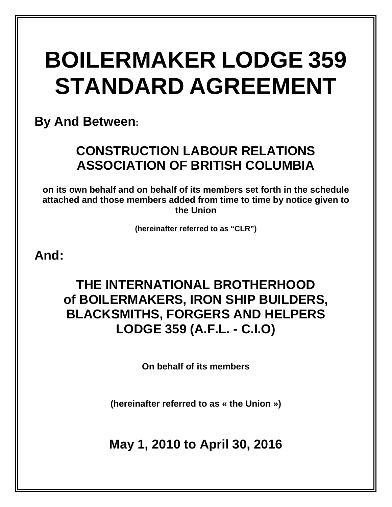# **BOILERMAKER LODGE 359 STANDARD AGREEMENT**

**By And Between:**

# **CONSTRUCTION LABOUR RELATIONS ASSOCIATION OF BRITISH COLUMBIA**

**on its own behalf and on behalf of its members set forth in the schedule attached and those members added from time to time by notice given to the Union**

**(hereinafter referred to as "CLR")**

**And:**

# **THE INTERNATIONAL BROTHERHOOD of BOILERMAKERS, IRON SHIP BUILDERS, BLACKSMITHS, FORGERS AND HELPERS LODGE 359 (A.F.L. - C.I.O)**

**On behalf of its members** 

**(hereinafter referred to as « the Union »)**

**May 1, 2010 to April 30, 2016**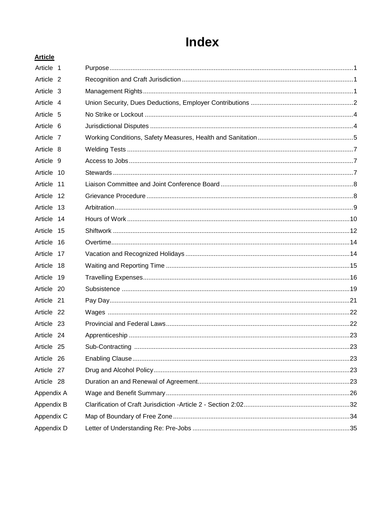# **Index**

| <b>Article</b> |  |  |
|----------------|--|--|
| Article 1      |  |  |
| Article 2      |  |  |
| Article 3      |  |  |
| Article 4      |  |  |
| Article 5      |  |  |
| Article 6      |  |  |
| Article 7      |  |  |
| Article 8      |  |  |
| Article 9      |  |  |
| Article 10     |  |  |
| Article 11     |  |  |
| Article 12     |  |  |
| Article 13     |  |  |
| Article 14     |  |  |
| Article 15     |  |  |
| Article 16     |  |  |
| Article 17     |  |  |
| Article 18     |  |  |
| Article 19     |  |  |
| Article 20     |  |  |
| Article 21     |  |  |
| Article 22     |  |  |
| Article 23     |  |  |
| Article 24     |  |  |
| Article 25     |  |  |
| Article 26     |  |  |
| Article 27     |  |  |
| Article 28     |  |  |
| Appendix A     |  |  |
| Appendix B     |  |  |
| Appendix C     |  |  |
| Appendix D     |  |  |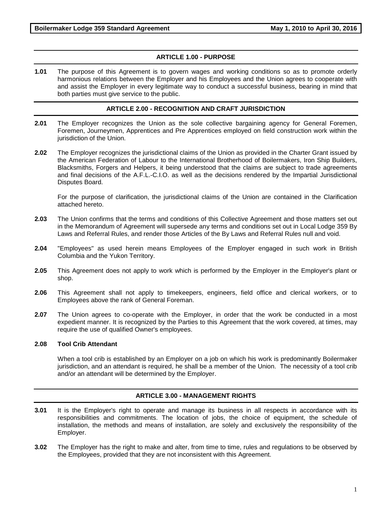#### **ARTICLE 1.00 - PURPOSE**

**1.01** The purpose of this Agreement is to govern wages and working conditions so as to promote orderly harmonious relations between the Employer and his Employees and the Union agrees to cooperate with and assist the Employer in every legitimate way to conduct a successful business, bearing in mind that both parties must give service to the public.

#### **ARTICLE 2.00 - RECOGNITION AND CRAFT JURISDICTION**

- **2.01** The Employer recognizes the Union as the sole collective bargaining agency for General Foremen, Foremen, Journeymen, Apprentices and Pre Apprentices employed on field construction work within the jurisdiction of the Union.
- **2.02** The Employer recognizes the jurisdictional claims of the Union as provided in the Charter Grant issued by the American Federation of Labour to the International Brotherhood of Boilermakers, Iron Ship Builders, Blacksmiths, Forgers and Helpers, it being understood that the claims are subject to trade agreements and final decisions of the A.F.L.-C.I.O. as well as the decisions rendered by the Impartial Jurisdictional Disputes Board.

For the purpose of clarification, the jurisdictional claims of the Union are contained in the Clarification attached hereto.

- **2.03** The Union confirms that the terms and conditions of this Collective Agreement and those matters set out in the Memorandum of Agreement will supersede any terms and conditions set out in Local Lodge 359 By Laws and Referral Rules, and render those Articles of the By Laws and Referral Rules null and void.
- **2.04** "Employees" as used herein means Employees of the Employer engaged in such work in British Columbia and the Yukon Territory.
- **2.05** This Agreement does not apply to work which is performed by the Employer in the Employer's plant or shop.
- **2.06** This Agreement shall not apply to timekeepers, engineers, field office and clerical workers, or to Employees above the rank of General Foreman.
- **2.07** The Union agrees to co-operate with the Employer, in order that the work be conducted in a most expedient manner. It is recognized by the Parties to this Agreement that the work covered, at times, may require the use of qualified Owner's employees.

#### **2.08 Tool Crib Attendant**

When a tool crib is established by an Employer on a job on which his work is predominantly Boilermaker jurisdiction, and an attendant is required, he shall be a member of the Union. The necessity of a tool crib and/or an attendant will be determined by the Employer.

#### **ARTICLE 3.00 - MANAGEMENT RIGHTS**

- **3.01** It is the Employer's right to operate and manage its business in all respects in accordance with its responsibilities and commitments. The location of jobs, the choice of equipment, the schedule of installation, the methods and means of installation, are solely and exclusively the responsibility of the Employer.
- **3.02** The Employer has the right to make and alter, from time to time, rules and regulations to be observed by the Employees, provided that they are not inconsistent with this Agreement.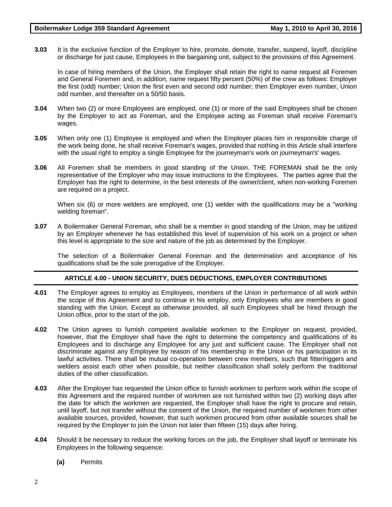**3.03** It is the exclusive function of the Employer to hire, promote, demote, transfer, suspend, layoff, discipline or discharge for just cause, Employees in the bargaining unit, subject to the provisions of this Agreement.

In case of hiring members of the Union, the Employer shall retain the right to name request all Foremen and General Foremen and, in addition, name request fifty percent (50%) of the crew as follows: Employer the first (odd) number; Union the first even and second odd number; then Employer even number, Union odd number, and thereafter on a 50/50 basis.

- **3.04** When two (2) or more Employees are employed, one (1) or more of the said Employees shall be chosen by the Employer to act as Foreman, and the Employee acting as Foreman shall receive Foreman's wages.
- **3.05** When only one (1) Employee is employed and when the Employer places him in responsible charge of the work being done, he shall receive Foreman's wages, provided that nothing in this Article shall interfere with the usual right to employ a single Employee for the journeyman's work on journeyman's' wages.
- **3.06** All Foremen shall be members in good standing of the Union. THE FOREMAN shall be the only representative of the Employer who may issue instructions to the Employees. The parties agree that the Employer has the right to determine, in the best interests of the owner/client, when non-working Foremen are required on a project.

When six (6) or more welders are employed, one (1) welder with the qualifications may be a "working welding foreman".

**3.07** A Boilermaker General Foreman, who shall be a member in good standing of the Union, may be utilized by an Employer whenever he has established this level of supervision of his work on a project or when this level is appropriate to the size and nature of the job as determined by the Employer.

The selection of a Boilermaker General Foreman and the determination and acceptance of his qualifications shall be the sole prerogative of the Employer.

#### **ARTICLE 4.00 - UNION SECURITY, DUES DEDUCTIONS, EMPLOYER CONTRIBUTIONS**

- **4.01** The Employer agrees to employ as Employees, members of the Union in performance of all work within the scope of this Agreement and to continue in his employ, only Employees who are members in good standing with the Union. Except as otherwise provided, all such Employees shall be hired through the Union office, prior to the start of the job.
- **4.02** The Union agrees to furnish competent available workmen to the Employer on request, provided, however, that the Employer shall have the right to determine the competency and qualifications of its Employees and to discharge any Employee for any just and sufficient cause. The Employer shall not discriminate against any Employee by reason of his membership in the Union or his participation in its lawful activities. There shall be mutual co-operation between crew members, such that fitter/riggers and welders assist each other when possible, but neither classification shall solely perform the traditional duties of the other classification.
- **4.03** After the Employer has requested the Union office to furnish workmen to perform work within the scope of this Agreement and the required number of workmen are not furnished within two (2) working days after the date for which the workmen are requested, the Employer shall have the right to procure and retain, until layoff, but not transfer without the consent of the Union, the required number of workmen from other available sources, provided, however, that such workmen procured from other available sources shall be required by the Employer to join the Union not later than fifteen (15) days after hiring.
- **4.04** Should it be necessary to reduce the working forces on the job, the Employer shall layoff or terminate his Employees in the following sequence:
	- **(a)** Permits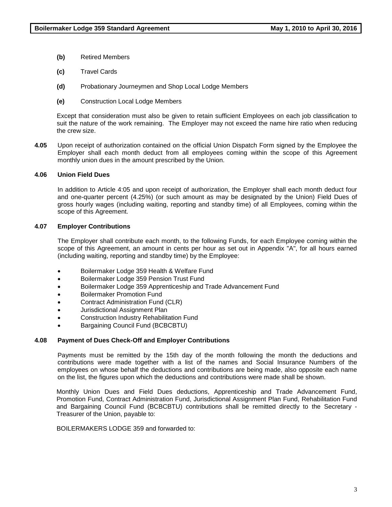- **(b)** Retired Members
- **(c)** Travel Cards
- **(d)** Probationary Journeymen and Shop Local Lodge Members
- **(e)** Construction Local Lodge Members

Except that consideration must also be given to retain sufficient Employees on each job classification to suit the nature of the work remaining. The Employer may not exceed the name hire ratio when reducing the crew size.

**4.05** Upon receipt of authorization contained on the official Union Dispatch Form signed by the Employee the Employer shall each month deduct from all employees coming within the scope of this Agreement monthly union dues in the amount prescribed by the Union.

#### **4.06 Union Field Dues**

In addition to Article 4:05 and upon receipt of authorization, the Employer shall each month deduct four and one-quarter percent (4.25%) (or such amount as may be designated by the Union) Field Dues of gross hourly wages (including waiting, reporting and standby time) of all Employees, coming within the scope of this Agreement.

#### **4.07 Employer Contributions**

The Employer shall contribute each month, to the following Funds, for each Employee coming within the scope of this Agreement, an amount in cents per hour as set out in Appendix "A", for all hours earned (including waiting, reporting and standby time) by the Employee:

- Boilermaker Lodge 359 Health & Welfare Fund
- Boilermaker Lodge 359 Pension Trust Fund
- Boilermaker Lodge 359 Apprenticeship and Trade Advancement Fund
- Boilermaker Promotion Fund
- Contract Administration Fund (CLR)
- Jurisdictional Assignment Plan
- Construction Industry Rehabilitation Fund
- Bargaining Council Fund (BCBCBTU)

#### **4.08 Payment of Dues Check-Off and Employer Contributions**

Payments must be remitted by the 15th day of the month following the month the deductions and contributions were made together with a list of the names and Social Insurance Numbers of the employees on whose behalf the deductions and contributions are being made, also opposite each name on the list, the figures upon which the deductions and contributions were made shall be shown.

Monthly Union Dues and Field Dues deductions, Apprenticeship and Trade Advancement Fund, Promotion Fund, Contract Administration Fund, Jurisdictional Assignment Plan Fund, Rehabilitation Fund and Bargaining Council Fund (BCBCBTU) contributions shall be remitted directly to the Secretary - Treasurer of the Union, payable to:

BOILERMAKERS LODGE 359 and forwarded to: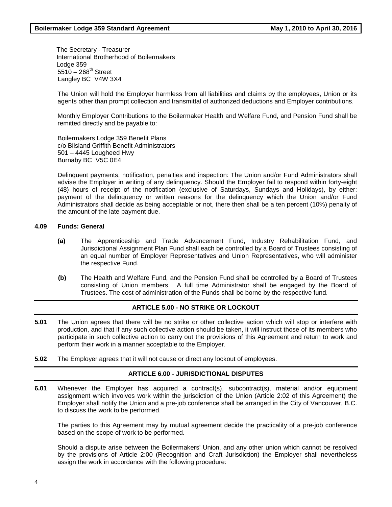The Secretary - Treasurer International Brotherhood of Boilermakers Lodge 359  $5510 - 268$ <sup>th</sup> Street Langley BC V4W 3X4

The Union will hold the Employer harmless from all liabilities and claims by the employees, Union or its agents other than prompt collection and transmittal of authorized deductions and Employer contributions.

Monthly Employer Contributions to the Boilermaker Health and Welfare Fund, and Pension Fund shall be remitted directly and be payable to:

Boilermakers Lodge 359 Benefit Plans c/o Bilsland Griffith Benefit Administrators 501 – 4445 Lougheed Hwy Burnaby BC V5C 0E4

Delinquent payments, notification, penalties and inspection: The Union and/or Fund Administrators shall advise the Employer in writing of any delinquency. Should the Employer fail to respond within forty-eight (48) hours of receipt of the notification (exclusive of Saturdays, Sundays and Holidays), by either: payment of the delinquency or written reasons for the delinquency which the Union and/or Fund Administrators shall decide as being acceptable or not, there then shall be a ten percent (10%) penalty of the amount of the late payment due.

#### **4.09 Funds: General**

- **(a)** The Apprenticeship and Trade Advancement Fund, Industry Rehabilitation Fund, and Jurisdictional Assignment Plan Fund shall each be controlled by a Board of Trustees consisting of an equal number of Employer Representatives and Union Representatives, who will administer the respective Fund.
- **(b)** The Health and Welfare Fund, and the Pension Fund shall be controlled by a Board of Trustees consisting of Union members. A full time Administrator shall be engaged by the Board of Trustees. The cost of administration of the Funds shall be borne by the respective fund.

#### **ARTICLE 5.00 - NO STRIKE OR LOCKOUT**

- **5.01** The Union agrees that there will be no strike or other collective action which will stop or interfere with production, and that if any such collective action should be taken, it will instruct those of its members who participate in such collective action to carry out the provisions of this Agreement and return to work and perform their work in a manner acceptable to the Employer.
- **5.02** The Employer agrees that it will not cause or direct any lockout of employees.

#### **ARTICLE 6.00 - JURISDICTIONAL DISPUTES**

**6.01** Whenever the Employer has acquired a contract(s), subcontract(s), material and/or equipment assignment which involves work within the jurisdiction of the Union (Article 2:02 of this Agreement) the Employer shall notify the Union and a pre-job conference shall be arranged in the City of Vancouver, B.C. to discuss the work to be performed.

The parties to this Agreement may by mutual agreement decide the practicality of a pre-job conference based on the scope of work to be performed.

Should a dispute arise between the Boilermakers' Union, and any other union which cannot be resolved by the provisions of Article 2:00 (Recognition and Craft Jurisdiction) the Employer shall nevertheless assign the work in accordance with the following procedure: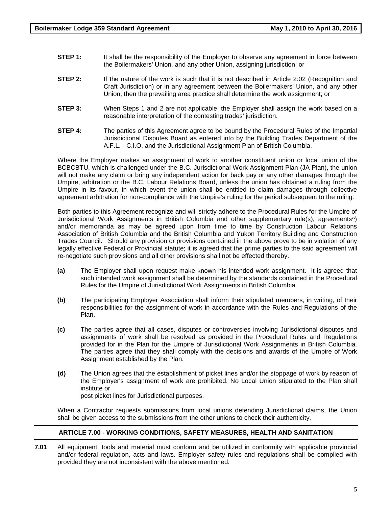- **STEP 1:** It shall be the responsibility of the Employer to observe any agreement in force between the Boilermakers' Union, and any other Union, assigning jurisdiction; or
- **STEP 2:** If the nature of the work is such that it is not described in Article 2:02 (Recognition and Craft Jurisdiction) or in any agreement between the Boilermakers' Union, and any other Union, then the prevailing area practice shall determine the work assignment; or
- **STEP 3:** When Steps 1 and 2 are not applicable, the Employer shall assign the work based on a reasonable interpretation of the contesting trades' jurisdiction.
- **STEP 4:** The parties of this Agreement agree to be bound by the Procedural Rules of the Impartial Jurisdictional Disputes Board as entered into by the Building Trades Department of the A.F.L. - C.I.O. and the Jurisdictional Assignment Plan of British Columbia.

Where the Employer makes an assignment of work to another constituent union or local union of the BCBCBTU, which is challenged under the B.C. Jurisdictional Work Assignment Plan (JA Plan), the union will not make any claim or bring any independent action for back pay or any other damages through the Umpire, arbitration or the B.C. Labour Relations Board, unless the union has obtained a ruling from the Umpire in its favour, in which event the union shall be entitled to claim damages through collective agreement arbitration for non-compliance with the Umpire's ruling for the period subsequent to the ruling.

Both parties to this Agreement recognize and will strictly adhere to the Procedural Rules for the Umpire of Jurisdictional Work Assignments in British Columbia and other supplementary rule(s), agreements^) and/or memoranda as may be agreed upon from time to time by Construction Labour Relations Association of British Columbia and the British Columbia and Yukon Territory Building and Construction Trades Council. Should any provision or provisions contained in the above prove to be in violation of any legally effective Federal or Provincial statute; it is agreed that the prime parties to the said agreement will re-negotiate such provisions and all other provisions shall not be effected thereby.

- **(a)** The Employer shall upon request make known his intended work assignment. It is agreed that such intended work assignment shall be determined by the standards contained in the Procedural Rules for the Umpire of Jurisdictional Work Assignments in British Columbia.
- **(b)** The participating Employer Association shall inform their stipulated members, in writing, of their responsibilities for the assignment of work in accordance with the Rules and Regulations of the Plan.
- **(c)** The parties agree that all cases, disputes or controversies involving Jurisdictional disputes and assignments of work shall be resolved as provided in the Procedural Rules and Regulations provided for in the Plan for the Umpire of Jurisdictional Work Assignments in British Columbia. The parties agree that they shall comply with the decisions and awards of the Umpire of Work Assignment established by the Plan.
- **(d)** The Union agrees that the establishment of picket lines and/or the stoppage of work by reason of the Employer's assignment of work are prohibited. No Local Union stipulated to the Plan shall institute or post picket lines for Jurisdictional purposes.

When a Contractor requests submissions from local unions defending Jurisdictional claims, the Union shall be given access to the submissions from the other unions to check their authenticity.

#### **ARTICLE 7.00 - WORKING CONDITIONS, SAFETY MEASURES, HEALTH AND SANITATION**

**7.01** All equipment, tools and material must conform and be utilized in conformity with applicable provincial and/or federal regulation, acts and laws. Employer safety rules and regulations shall be complied with provided they are not inconsistent with the above mentioned.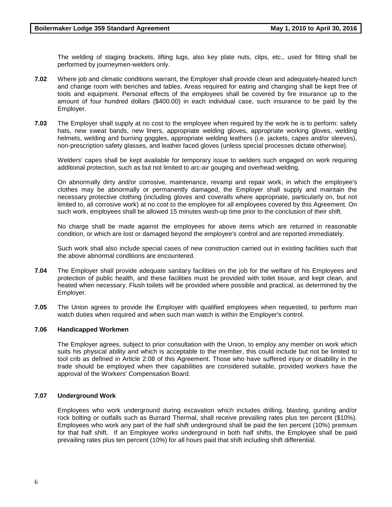The welding of staging brackets, lifting lugs, also key plate nuts, clips, etc., used for fitting shall be performed by journeymen-welders only.

- **7.02** Where job and climatic conditions warrant, the Employer shall provide clean and adequately-heated lunch and change room with benches and tables. Areas required for eating and changing shall be kept free of tools and equipment. Personal effects of the employees shall be covered by fire insurance up to the amount of four hundred dollars (\$400.00) in each individual case, such insurance to be paid by the Employer.
- **7.03** The Employer shall supply at no cost to the employee when required by the work he is to perform: safety hats, new sweat bands, new liners, appropriate welding gloves, appropriate working gloves, welding helmets, welding and burning goggles, appropriate welding leathers (i.e. jackets, capes and/or sleeves), non-prescription safety glasses, and leather faced gloves (unless special processes dictate otherwise).

Welders' capes shall be kept available for temporary issue to welders such engaged on work requiring additional protection, such as but not limited to arc-air gouging and overhead welding.

On abnormally dirty and/or corrosive, maintenance, revamp and repair work, in which the employee's clothes may be abnormally or permanently damaged, the Employer shall supply and maintain the necessary protective clothing (including gloves and coveralls where appropriate, particularly on, but not limited to, all corrosive work) at no cost to the employee for all employees covered by this Agreement. On such work, employees shall be allowed 15 minutes wash-up time prior to the conclusion of their shift.

No charge shall be made against the employees for above items which are returned in reasonable condition, or which are lost or damaged beyond the employee's control and are reported immediately.

Such work shall also include special cases of new construction carried out in existing facilities such that the above abnormal conditions are encountered.

- **7.04** The Employer shall provide adequate sanitary facilities on the job for the welfare of his Employees and protection of public health, and these facilities must be provided with toilet tissue, and kept clean, and heated when necessary. Flush toilets will be provided where possible and practical, as determined by the Employer.
- **7.05** The Union agrees to provide the Employer with qualified employees when requested, to perform man watch duties when required and when such man watch is within the Employer's control.

#### **7.06 Handicapped Workmen**

The Employer agrees, subject to prior consultation with the Union, to employ any member on work which suits his physical ability and which is acceptable to the member, this could include but not be limited to tool crib as defined in Article 2:08 of this Agreement. Those who have suffered injury or disability in the trade should be employed when their capabilities are considered suitable, provided workers have the approval of the Workers' Compensation Board.

#### **7.07 Underground Work**

Employees who work underground during excavation which includes drilling, blasting, guniting and/or rock bolting or outfalls such as Burrard Thermal, shall receive prevailing rates plus ten percent (\$10%). Employees who work any part of the half shift underground shall be paid the ten percent (10%) premium for that half shift. If an Employee works underground in both half shifts, the Employee shall be paid prevailing rates plus ten percent (10%) for all hours paid that shift including shift differential.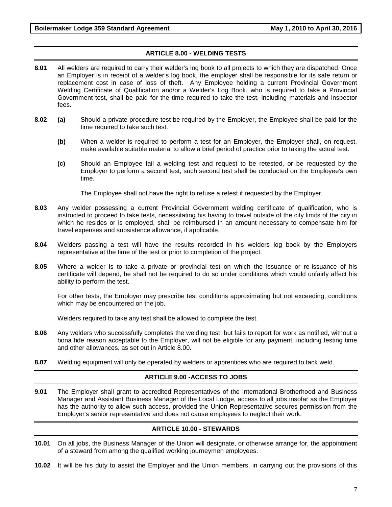#### **ARTICLE 8.00 - WELDING TESTS**

- **8.01** All welders are required to carry their welder's log book to all projects to which they are dispatched. Once an Employer is in receipt of a welder's log book, the employer shall be responsible for its safe return or replacement cost in case of loss of theft. Any Employee holding a current Provincial Government Welding Certificate of Qualification and/or a Welder's Log Book, who is required to take a Provincial Government test, shall be paid for the time required to take the test, including materials and inspector fees.
- **8.02 (a)** Should a private procedure test be required by the Employer, the Employee shall be paid for the time required to take such test.
	- **(b)** When a welder is required to perform a test for an Employer, the Employer shall, on request, make available suitable material to allow a brief period of practice prior to taking the actual test.
	- **(c)** Should an Employee fail a welding test and request to be retested, or be requested by the Employer to perform a second test, such second test shall be conducted on the Employee's own time.

The Employee shall not have the right to refuse a retest if requested by the Employer.

- **8.03** Any welder possessing a current Provincial Government welding certificate of qualification, who is instructed to proceed to take tests, necessitating his having to travel outside of the city limits of the city in which he resides or is employed, shall be reimbursed in an amount necessary to compensate him for travel expenses and subsistence allowance, if applicable.
- **8.04** Welders passing a test will have the results recorded in his welders log book by the Employers representative at the time of the test or prior to completion of the project.
- **8.05** Where a welder is to take a private or provincial test on which the issuance or re-issuance of his certificate will depend, he shall not be required to do so under conditions which would unfairly affect his ability to perform the test.

For other tests, the Employer may prescribe test conditions approximating but not exceeding, conditions which may be encountered on the job.

Welders required to take any test shall be allowed to complete the test.

- **8.06** Any welders who successfully completes the welding test, but fails to report for work as notified, without a bona fide reason acceptable to the Employer, will not be eligible for any payment, including testing time and other allowances, as set out in Article 8.00.
- **8.07** Welding equipment will only be operated by welders or apprentices who are required to tack weld.

#### **ARTICLE 9.00 -ACCESS TO JOBS**

**9.01** The Employer shall grant to accredited Representatives of the International Brotherhood and Business Manager and Assistant Business Manager of the Local Lodge, access to all jobs insofar as the Employer has the authority to allow such access, provided the Union Representative secures permission from the Employer's senior representative and does not cause employees to neglect their work.

#### **ARTICLE 10.00 - STEWARDS**

- **10.01** On all jobs, the Business Manager of the Union will designate, or otherwise arrange for, the appointment of a steward from among the qualified working journeymen employees.
- **10.02** It will be his duty to assist the Employer and the Union members, in carrying out the provisions of this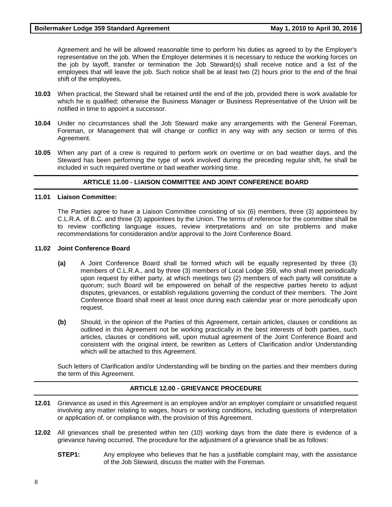Agreement and he will be allowed reasonable time to perform his duties as agreed to by the Employer's representative on the job. When the Employer determines it is necessary to reduce the working forces on the job by layoff, transfer or termination the Job Steward(s) shall receive notice and a list of the employees that will leave the job. Such notice shall be at least two (2) hours prior to the end of the final shift of the employees.

- **10.03** When practical, the Steward shall be retained until the end of the job, provided there is work available for which he is qualified; otherwise the Business Manager or Business Representative of the Union will be notified in time to appoint a successor.
- **10.04** Under no circumstances shall the Job Steward make any arrangements with the General Foreman, Foreman, or Management that will change or conflict in any way with any section or terms of this Agreement.
- **10.05** When any part of a crew is required to perform work on overtime or on bad weather days, and the Steward has been performing the type of work involved during the preceding regular shift, he shall be included in such required overtime or bad weather working time.

#### **ARTICLE 11.00 - LIAISON COMMITTEE AND JOINT CONFERENCE BOARD**

#### **11.01 Liaison Committee:**

The Parties agree to have a Liaison Committee consisting of six (6) members, three (3) appointees by C.L.R.A. of B.C. and three (3) appointees by the Union. The terms of reference for the committee shall be to review conflicting language issues, review interpretations and on site problems and make recommendations for consideration and/or approval to the Joint Conference Board.

#### **11.02 Joint Conference Board**

- **(a)** A Joint Conference Board shall be formed which will be equally represented by three (3) members of C.L.R.A., and by three (3) members of Local Lodge 359, who shall meet periodically upon request by either party, at which meetings two (2) members of each party will constitute a quorum; such Board will be empowered on behalf of the respective parties hereto to adjust disputes, grievances, or establish regulations governing the conduct of their members. The Joint Conference Board shall meet at least once during each calendar year or more periodically upon request.
- **(b)** Should, in the opinion of the Parties of this Agreement, certain articles, clauses or conditions as outlined in this Agreement not be working practically in the best interests of both parties, such articles, clauses or conditions will, upon mutual agreement of the Joint Conference Board and consistent with the original intent, be rewritten as Letters of Clarification and/or Understanding which will be attached to this Agreement.

Such letters of Clarification and/or Understanding will be binding on the parties and their members during the term of this Agreement.

#### **ARTICLE 12.00 - GRIEVANCE PROCEDURE**

- **12.01** Grievance as used in this Agreement is an employee and/or an employer complaint or unsatisfied request involving any matter relating to wages, hours or working conditions, including questions of interpretation or application of, or compliance with, the provision of this Agreement.
- **12.02** All grievances shall be presented within ten (10) working days from the date there is evidence of a grievance having occurred. The procedure for the adjustment of a grievance shall be as follows:
	- **STEP1:** Any employee who believes that he has a justifiable complaint may, with the assistance of the Job Steward, discuss the matter with the Foreman.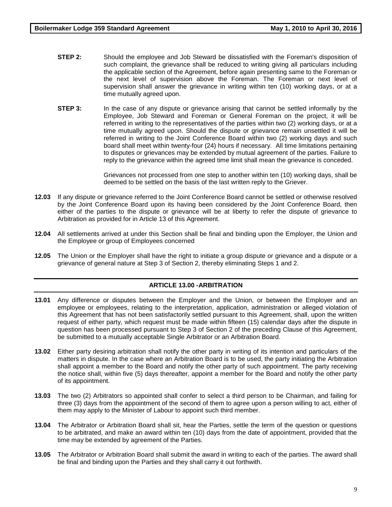- **STEP 2:** Should the employee and Job Steward be dissatisfied with the Foreman's disposition of such complaint, the grievance shall be reduced to writing giving all particulars including the applicable section of the Agreement, before again presenting same to the Foreman or the next level of supervision above the Foreman. The Foreman or next level of supervision shall answer the grievance in writing within ten (10) working days, or at a time mutually agreed upon.
- **STEP 3:** In the case of any dispute or grievance arising that cannot be settled informally by the Employee, Job Steward and Foreman or General Foreman on the project, it will be referred in writing to the representatives of the parties within two (2) working days, or at a time mutually agreed upon. Should the dispute or grievance remain unsettled it will be referred in writing to the Joint Conference Board within two (2) working days and such board shall meet within twenty-four (24) hours if necessary. All time limitations pertaining to disputes or grievances may be extended by mutual agreement of the parties. Failure to reply to the grievance within the agreed time limit shall mean the grievance is conceded.

Grievances not processed from one step to another within ten (10) working days, shall be deemed to be settled on the basis of the last written reply to the Griever.

- **12.03** If any dispute or grievance referred to the Joint Conference Board cannot be settled or otherwise resolved by the Joint Conference Board upon its having been considered by the Joint Conference Board, then either of the parties to the dispute or grievance will be at liberty to refer the dispute of grievance to Arbitration as provided for in Article 13 of this Agreement.
- **12.04** All settlements arrived at under this Section shall be final and binding upon the Employer, the Union and the Employee or group of Employees concerned
- **12.05** The Union or the Employer shall have the right to initiate a group dispute or grievance and a dispute or a grievance of general nature at Step 3 of Section 2, thereby eliminating Steps 1 and 2.

#### **ARTICLE 13.00 -ARBITRATION**

- **13.01** Any difference or disputes between the Employer and the Union, or between the Employer and an employee or employees, relating to the interpretation, application, administration or alleged violation of this Agreement that has not been satisfactorily settled pursuant to this Agreement, shall, upon the written request of either party, which request must be made within fifteen (15) calendar days after the dispute in question has been processed pursuant to Step 3 of Section 2 of the preceding Clause of this Agreement, be submitted to a mutually acceptable Single Arbitrator or an Arbitration Board.
- **13.02** Either party desiring arbitration shall notify the other party in writing of its intention and particulars of the matters in dispute. In the case where an Arbitration Board is to be used, the party initiating the Arbitration shall appoint a member to the Board and notify the other party of such appointment. The party receiving the notice shall, within five (5) days thereafter, appoint a member for the Board and notify the other party of its appointment.
- **13.03** The two (2) Arbitrators so appointed shall confer to select a third person to be Chairman, and failing for three (3) days from the appointment of the second of them to agree upon a person willing to act, either of them may apply to the Minister of Labour to appoint such third member.
- **13.04** The Arbitrator or Arbitration Board shall sit, hear the Parties, settle the term of the question or questions to be arbitrated, and make an award within ten (10) days from the date of appointment, provided that the time may be extended by agreement of the Parties.
- **13.05** The Arbitrator or Arbitration Board shall submit the award in writing to each of the parties. The award shall be final and binding upon the Parties and they shall carry it out forthwith.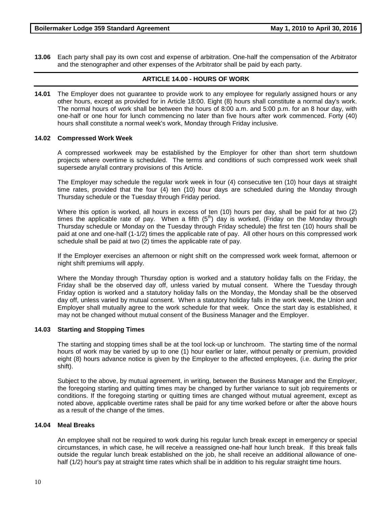**13.06** Each party shall pay its own cost and expense of arbitration. One-half the compensation of the Arbitrator and the stenographer and other expenses of the Arbitrator shall be paid by each party.

#### **ARTICLE 14.00 - HOURS OF WORK**

**14.01** The Employer does not guarantee to provide work to any employee for regularly assigned hours or any other hours, except as provided for in Article 18:00. Eight (8) hours shall constitute a normal day's work. The normal hours of work shall be between the hours of 8:00 a.m. and 5:00 p.m. for an 8 hour day, with one-half or one hour for lunch commencing no later than five hours after work commenced. Forty (40) hours shall constitute a normal week's work, Monday through Friday inclusive.

#### **14.02 Compressed Work Week**

A compressed workweek may be established by the Employer for other than short term shutdown projects where overtime is scheduled. The terms and conditions of such compressed work week shall supersede any/all contrary provisions of this Article.

The Employer may schedule the regular work week in four (4) consecutive ten (10) hour days at straight time rates, provided that the four (4) ten (10) hour days are scheduled during the Monday through Thursday schedule or the Tuesday through Friday period.

Where this option is worked, all hours in excess of ten (10) hours per day, shall be paid for at two (2) times the applicable rate of pay. When a fifth  $(5<sup>th</sup>)$  day is worked, (Friday on the Monday through Thursday schedule or Monday on the Tuesday through Friday schedule) the first ten (10) hours shall be paid at one and one-half (1-1/2) times the applicable rate of pay. All other hours on this compressed work schedule shall be paid at two (2) times the applicable rate of pay.

If the Employer exercises an afternoon or night shift on the compressed work week format, afternoon or night shift premiums will apply.

Where the Monday through Thursday option is worked and a statutory holiday falls on the Friday, the Friday shall be the observed day off, unless varied by mutual consent. Where the Tuesday through Friday option is worked and a statutory holiday falls on the Monday, the Monday shall be the observed day off, unless varied by mutual consent. When a statutory holiday falls in the work week, the Union and Employer shall mutually agree to the work schedule for that week. Once the start day is established, it may not be changed without mutual consent of the Business Manager and the Employer.

#### **14.03 Starting and Stopping Times**

The starting and stopping times shall be at the tool lock-up or lunchroom. The starting time of the normal hours of work may be varied by up to one (1) hour earlier or later, without penalty or premium, provided eight (8) hours advance notice is given by the Employer to the affected employees, (i.e. during the prior shift).

Subject to the above, by mutual agreement, in writing, between the Business Manager and the Employer, the foregoing starting and quitting times may be changed by further variance to suit job requirements or conditions. If the foregoing starting or quitting times are changed without mutual agreement, except as noted above, applicable overtime rates shall be paid for any time worked before or after the above hours as a result of the change of the times.

#### **14.04 Meal Breaks**

An employee shall not be required to work during his regular lunch break except in emergency or special circumstances, in which case, he will receive a reassigned one-half hour lunch break. If this break falls outside the regular lunch break established on the job, he shall receive an additional allowance of onehalf (1/2) hour's pay at straight time rates which shall be in addition to his regular straight time hours.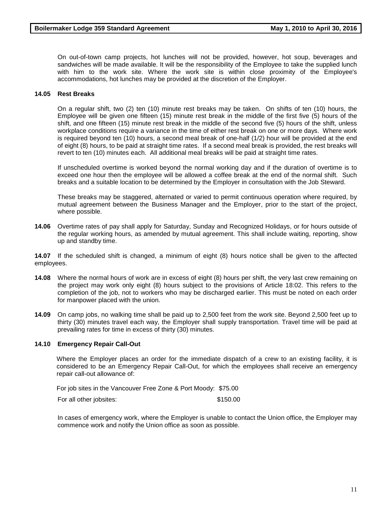On out-of-town camp projects, hot lunches will not be provided, however, hot soup, beverages and sandwiches will be made available. It will be the responsibility of the Employee to take the supplied lunch with him to the work site. Where the work site is within close proximity of the Employee's accommodations, hot lunches may be provided at the discretion of the Employer.

#### **14.05 Rest Breaks**

On a regular shift, two (2) ten (10) minute rest breaks may be taken. On shifts of ten (10) hours, the Employee will be given one fifteen (15) minute rest break in the middle of the first five (5) hours of the shift, and one fifteen (15) minute rest break in the middle of the second five (5) hours of the shift, unless workplace conditions require a variance in the time of either rest break on one or more days. Where work is required beyond ten (10) hours, a second meal break of one-half (1/2) hour will be provided at the end of eight (8) hours, to be paid at straight time rates. If a second meal break is provided, the rest breaks will revert to ten (10) minutes each. All additional meal breaks will be paid at straight time rates.

If unscheduled overtime is worked beyond the normal working day and if the duration of overtime is to exceed one hour then the employee will be allowed a coffee break at the end of the normal shift. Such breaks and a suitable location to be determined by the Employer in consultation with the Job Steward.

These breaks may be staggered, alternated or varied to permit continuous operation where required, by mutual agreement between the Business Manager and the Employer, prior to the start of the project, where possible.

**14.06** Overtime rates of pay shall apply for Saturday, Sunday and Recognized Holidays, or for hours outside of the regular working hours, as amended by mutual agreement. This shall include waiting, reporting, show up and standby time.

**14.07** If the scheduled shift is changed, a minimum of eight (8) hours notice shall be given to the affected employees.

- **14.08** Where the normal hours of work are in excess of eight (8) hours per shift, the very last crew remaining on the project may work only eight (8) hours subject to the provisions of Article 18:02. This refers to the completion of the job, not to workers who may be discharged earlier. This must be noted on each order for manpower placed with the union.
- **14.09** On camp jobs, no walking time shall be paid up to 2,500 feet from the work site. Beyond 2,500 feet up to thirty (30) minutes travel each way, the Employer shall supply transportation. Travel time will be paid at prevailing rates for time in excess of thirty (30) minutes.

#### **14.10 Emergency Repair Call-Out**

Where the Employer places an order for the immediate dispatch of a crew to an existing facility, it is considered to be an Emergency Repair Call-Out, for which the employees shall receive an emergency repair call-out allowance of:

For job sites in the Vancouver Free Zone & Port Moody: \$75.00

For all other jobsites:  $$150.00$ 

In cases of emergency work, where the Employer is unable to contact the Union office, the Employer may commence work and notify the Union office as soon as possible.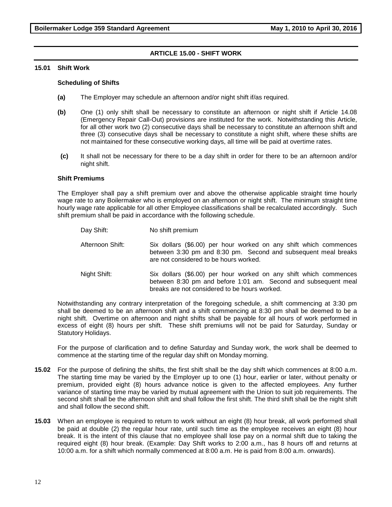#### **ARTICLE 15.00 - SHIFT WORK**

#### **15.01 Shift Work**

#### **Scheduling of Shifts**

- **(a)** The Employer may schedule an afternoon and/or night shift if/as required.
- **(b)** One (1) only shift shall be necessary to constitute an afternoon or night shift if Article 14.08 (Emergency Repair Call-Out) provisions are instituted for the work. Notwithstanding this Article, for all other work two (2) consecutive days shall be necessary to constitute an afternoon shift and three (3) consecutive days shall be necessary to constitute a night shift, where these shifts are not maintained for these consecutive working days, all time will be paid at overtime rates.
- **(c)** It shall not be necessary for there to be a day shift in order for there to be an afternoon and/or night shift.

#### **Shift Premiums**

The Employer shall pay a shift premium over and above the otherwise applicable straight time hourly wage rate to any Boilermaker who is employed on an afternoon or night shift. The minimum straight time hourly wage rate applicable for all other Employee classifications shall be recalculated accordingly. Such shift premium shall be paid in accordance with the following schedule.

| Day Shift:       | No shift premium                                                                                                                                                                     |
|------------------|--------------------------------------------------------------------------------------------------------------------------------------------------------------------------------------|
| Afternoon Shift: | Six dollars (\$6.00) per hour worked on any shift which commences<br>between 3:30 pm and 8:30 pm. Second and subsequent meal breaks<br>are not considered to be hours worked.        |
| Night Shift:     | Six dollars (\$6.00) per hour worked on any shift which commences<br>between 8:30 pm and before 1:01 am. Second and subsequent meal<br>breaks are not considered to be hours worked. |

Notwithstanding any contrary interpretation of the foregoing schedule, a shift commencing at 3:30 pm shall be deemed to be an afternoon shift and a shift commencing at 8:30 pm shall be deemed to be a night shift. Overtime on afternoon and night shifts shall be payable for all hours of work performed in excess of eight (8) hours per shift. These shift premiums will not be paid for Saturday, Sunday or Statutory Holidays.

For the purpose of clarification and to define Saturday and Sunday work, the work shall be deemed to commence at the starting time of the regular day shift on Monday morning.

- **15.02** For the purpose of defining the shifts, the first shift shall be the day shift which commences at 8:00 a.m. The starting time may be varied by the Employer up to one (1) hour, earlier or later, without penalty or premium, provided eight (8) hours advance notice is given to the affected employees. Any further variance of starting time may be varied by mutual agreement with the Union to suit job requirements. The second shift shall be the afternoon shift and shall follow the first shift. The third shift shall be the night shift and shall follow the second shift.
- **15.03** When an employee is required to return to work without an eight (8) hour break, all work performed shall be paid at double (2) the regular hour rate, until such time as the employee receives an eight (8) hour break. It is the intent of this clause that no employee shall lose pay on a normal shift due to taking the required eight (8) hour break. (Example: Day Shift works to 2:00 a.m., has 8 hours off and returns at 10:00 a.m. for a shift which normally commenced at 8:00 a.m. He is paid from 8:00 a.m. onwards).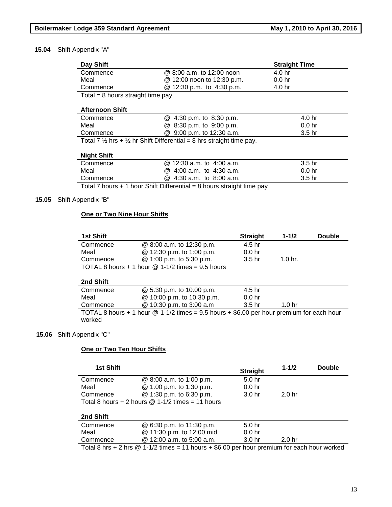#### **15.04** Shift Appendix "A"

| Day Shift |                            | <b>Straight Time</b> |
|-----------|----------------------------|----------------------|
| Commence  | @ 8:00 a.m. to 12:00 noon  | 4.0 hr               |
| Meal      | @ 12:00 noon to 12:30 p.m. | 0.0 hr               |
| Commence  | @ 12:30 p.m. to 4:30 p.m.  | 4.0 hr               |

Total = 8 hours straight time pay.

#### **Afternoon Shift**

| Commence | @ 4:30 p.m. to 8:30 p.m.  | 4.0 hr            |
|----------|---------------------------|-------------------|
| Meal     | @ 8:30 p.m. to 9:00 p.m.  | 0.0 <sub>hr</sub> |
| Commence | @ 9:00 p.m. to 12:30 a.m. | 3.5 <sub>hr</sub> |

Total 7  $\frac{1}{2}$  hrs +  $\frac{1}{2}$  hr Shift Differential = 8 hrs straight time pay.

#### **Night Shift**

|          | $\tau$ and $\tau$ become and become Oblitate Differential and the come expectable than a process |                   |  |
|----------|--------------------------------------------------------------------------------------------------|-------------------|--|
| Commence | @ 4:30 a.m. to 8:00 a.m.                                                                         | 3.5 <sub>hr</sub> |  |
| Meal     | @ 4:00 a.m. to 4:30 a.m.                                                                         | 0.0 <sub>hr</sub> |  |
| Commence | @ 12:30 a.m. to 4:00 a.m.                                                                        | 3.5 <sub>hr</sub> |  |
|          |                                                                                                  |                   |  |

Total 7 hours  $+ 1$  hour Shift Differential = 8 hours straight time pay

#### **15.05** Shift Appendix "B"

#### **One or Two Nine Hour Shifts**

| <b>1st Shift</b> |                                                           | <b>Straight</b>   | $1 - 1/2$          | <b>Double</b> |
|------------------|-----------------------------------------------------------|-------------------|--------------------|---------------|
| Commence         | @ 8:00 a.m. to 12:30 p.m.                                 | 4.5 <sub>hr</sub> |                    |               |
| Meal             | @ 12:30 p.m. to 1:00 p.m.                                 | 0.0 <sub>hr</sub> |                    |               |
| Commence         | @ 1:00 p.m. to 5:30 p.m.                                  | 3.5 <sub>hr</sub> | 1.0 <sub>hr.</sub> |               |
|                  | TOTAL 8 hours $+$ 1 hour $\omega$ 1-1/2 times = 9.5 hours |                   |                    |               |

#### **2nd Shift**

| Commence                                                                                  | @ 5:30 p.m. to 10:00 p.m.  | 4.5 hr            |        |  |  |
|-------------------------------------------------------------------------------------------|----------------------------|-------------------|--------|--|--|
| Meal                                                                                      | @ 10:00 p.m. to 10:30 p.m. | 0.0 <sub>hr</sub> |        |  |  |
| Commence                                                                                  | @ 10:30 p.m. to 3:00 a.m   | .3.5 hr           | 1 0 hr |  |  |
| TOTAL 8 hours + 1 hour $@1-1/2$ times = 9.5 hours + \$6.00 per hour premium for each hour |                            |                   |        |  |  |
| worked                                                                                    |                            |                   |        |  |  |

#### **15.06** Shift Appendix "C"

#### **One or Two Ten Hour Shifts**

| <b>1st Shift</b>                                     |                          | <b>Straight</b>   | $1 - 1/2$         | <b>Double</b> |  |
|------------------------------------------------------|--------------------------|-------------------|-------------------|---------------|--|
| Commence                                             | @ 8:00 a.m. to 1:00 p.m. | 5.0 <sub>hr</sub> |                   |               |  |
| Meal                                                 | @ 1:00 p.m. to 1:30 p.m. | 0.0 <sub>hr</sub> |                   |               |  |
| Commence                                             | @ 1:30 p.m. to 6:30 p.m. | 3.0 <sub>hr</sub> | 2.0 <sub>hr</sub> |               |  |
| Total 8 hours $+ 2$ hours $@ 1-1/2$ times = 11 hours |                          |                   |                   |               |  |
| 2nd Shift                                            |                          |                   |                   |               |  |

| <i>L</i> IIU VIIIL |                            |                   |                   |  |
|--------------------|----------------------------|-------------------|-------------------|--|
| Commence           | @ 6:30 p.m. to 11:30 p.m.  | 5.0 <sub>hr</sub> |                   |  |
| Meal               | @ 11:30 p.m. to 12:00 mid. | 0.0 <sub>hr</sub> |                   |  |
| Commence           | @ 12:00 a.m. to 5:00 a.m.  | 3.0 <sub>hr</sub> | 2.0 <sub>hr</sub> |  |
|                    |                            |                   |                   |  |

Total 8 hrs + 2 hrs  $@ 1-1/2$  times = 11 hours + \$6.00 per hour premium for each hour worked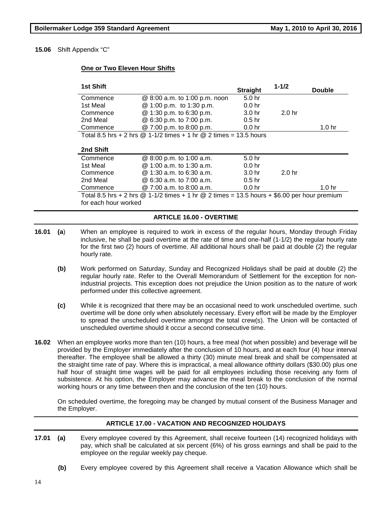#### **15.06** Shift Appendix "C"

#### **One or Two Eleven Hour Shifts**

| <b>1st Shift</b>     |                                                                                               | <b>Straight</b>   | $1 - 1/2$         | <b>Double</b>     |
|----------------------|-----------------------------------------------------------------------------------------------|-------------------|-------------------|-------------------|
| Commence             | @ 8:00 a.m. to 1:00 p.m. noon                                                                 | 5.0 <sub>hr</sub> |                   |                   |
| 1st Meal             | @ 1:00 p.m. to 1:30 p.m.                                                                      | 0.0 <sub>hr</sub> |                   |                   |
| Commence             | @ 1:30 p.m. to 6:30 p.m.                                                                      | 3.0 <sub>hr</sub> | 2.0 <sub>hr</sub> |                   |
| 2nd Meal             | @ 6:30 p.m. to 7:00 p.m.                                                                      | 0.5 <sub>hr</sub> |                   |                   |
| Commence             | @ 7:00 p.m. to 8:00 p.m.                                                                      | 0.0 <sub>hr</sub> |                   | 1.0 <sub>hr</sub> |
| 2nd Shift            | Total 8.5 hrs + 2 hrs $@ 1 - 1/2$ times + 1 hr $@ 2$ times = 13.5 hours                       |                   |                   |                   |
| Commence             | @ 8:00 p.m. to 1:00 a.m.                                                                      | 5.0 <sub>hr</sub> |                   |                   |
| 1st Meal             | $@1:00a.m.$ to 1:30 a.m.                                                                      | 0.0 <sub>hr</sub> |                   |                   |
| Commence             | $@1:30a.m.$ to 6:30 a.m.                                                                      | 3.0 <sub>hr</sub> | 2.0 <sub>hr</sub> |                   |
| 2nd Meal             | $@6:30a.m.$ to 7:00 a.m.                                                                      | 0.5 <sub>hr</sub> |                   |                   |
| Commence             | $@7:00$ a.m. to 8:00 a.m.                                                                     | 0.0 <sub>hr</sub> |                   | 1.0 <sub>hr</sub> |
| for each hour worked | Total 8.5 hrs + 2 hrs $@1-1/2$ times + 1 hr $@2$ times = 13.5 hours + \$6.00 per hour premium |                   |                   |                   |

#### **ARTICLE 16.00 - OVERTIME**

- **16.01 (a**) When an employee is required to work in excess of the regular hours, Monday through Friday inclusive, he shall be paid overtime at the rate of time and one-half (1-1/2) the regular hourly rate for the first two (2) hours of overtime. All additional hours shall be paid at double (2) the regular hourly rate.
	- **(b)** Work performed on Saturday, Sunday and Recognized Holidays shall be paid at double (2) the regular hourly rate. Refer to the Overall Memorandum of Settlement for the exception for nonindustrial projects. This exception does not prejudice the Union position as to the nature of work performed under this collective agreement.
	- **(c)** While it is recognized that there may be an occasional need to work unscheduled overtime, such overtime will be done only when absolutely necessary. Every effort will be made by the Employer to spread the unscheduled overtime amongst the total crew(s). The Union will be contacted of unscheduled overtime should it occur a second consecutive time.
- **16.02** When an employee works more than ten (10) hours, a free meal (hot when possible) and beverage will be provided by the Employer immediately after the conclusion of 10 hours, and at each four (4) hour interval thereafter. The employee shall be allowed a thirty (30) minute meal break and shall be compensated at the straight time rate of pay. Where this is impractical, a meal allowance ofthirty dollars (\$30.00) plus one half hour of straight time wages will be paid for all employees including those receiving any form of subsistence. At his option, the Employer may advance the meal break to the conclusion of the normal working hours or any time between then and the conclusion of the ten (10) hours.

On scheduled overtime, the foregoing may be changed by mutual consent of the Business Manager and the Employer.

#### **ARTICLE 17.00 - VACATION AND RECOGNIZED HOLIDAYS**

- **17.01 (a)** Every employee covered by this Agreement, shall receive fourteen (14) recognized holidays with pay, which shall be calculated at six percent (6%) of his gross earnings and shall be paid to the employee on the regular weekly pay cheque.
	- **(b)** Every employee covered by this Agreement shall receive a Vacation Allowance which shall be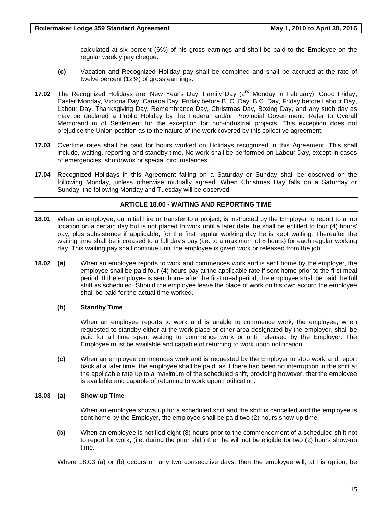calculated at six percent (6%) of his gross earnings and shall be paid to the Employee on the regular weekly pay cheque.

- **(c)** Vacation and Recognized Holiday pay shall be combined and shall be accrued at the rate of twelve percent (12%) of gross earnings.
- **17.02** The Recognized Holidays are: New Year's Day, Family Day (2<sup>nd</sup> Monday in February), Good Friday, Easter Monday, Victoria Day, Canada Day, Friday before B. C. Day, B.C. Day, Friday before Labour Day, Labour Day, Thanksgiving Day, Remembrance Day, Christmas Day, Boxing Day, and any such day as may be declared a Public Holiday by the Federal and/or Provincial Government. Refer to Overall Memorandum of Settlement for the exception for non-industrial projects. This exception does not prejudice the Union position as to the nature of the work covered by this collective agreement.
- **17.03** Overtime rates shall be paid for hours worked on Holidays recognized in this Agreement. This shall include, waiting, reporting and standby time. No work shall be performed on Labour Day, except in cases of emergencies, shutdowns or special circumstances.
- **17.04** Recognized Holidays in this Agreement falling on a Saturday or Sunday shall be observed on the following Monday, unless otherwise mutually agreed. When Christmas Day falls on a Saturday or Sunday, the following Monday and Tuesday will be observed,

#### **ARTICLE 18.00 - WAITING AND REPORTING TIME**

- **18.01** When an employee, on initial hire or transfer to a project, is instructed by the Employer to report to a job location on a certain day but is not placed to work until a later date, he shall be entitled to four (4) hours' pay, plus subsistence if applicable, for the first regular working day he is kept waiting. Thereafter the waiting time shall be increased to a full day's pay (i.e. to a maximum of 8 hours) for each regular working day. This waiting pay shall continue until the employee is given work or released from the job.
- **18.02 (a)** When an employee reports to work and commences work and is sent home by the employer, the employee shall be paid four (4) hours pay at the applicable rate if sent home prior to the first meal period. If the employee is sent home after the first meal period, the employee shall be paid the full shift as scheduled. Should the employee leave the place of work on his own accord the employee shall be paid for the actual time worked.

#### **(b) Standby Time**

When an employee reports to work and is unable to commence work, the employee, when requested to standby either at the work place or other area designated by the employer, shall be paid for all time spent waiting to commence work or until released by the Employer. The Employee must be available and capable of returning to work upon notification.

**(c)** When an employee commences work and is requested by the Employer to stop work and report back at a later time, the employee shall be paid, as if there had been no interruption in the shift at the applicable rate up to a maximum of the scheduled shift, providing however, that the employee is available and capable of returning to work upon notification.

#### **18.03 (a) Show-up Time**

When an employee shows up for a scheduled shift and the shift is cancelled and the employee is sent home by the Employer, the employee shall be paid two (2) hours show-up time.

**(b)** When an employee is notified eight (8) hours prior to the commencement of a scheduled shift not to report for work, (i.e. during the prior shift) then he will not be eligible for two (2) hours show-up time.

Where 18.03 (a) or (b) occurs on any two consecutive days, then the employee will, at his option, be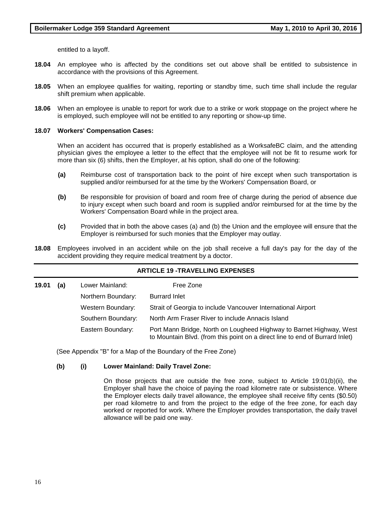entitled to a layoff.

- **18.04** An employee who is affected by the conditions set out above shall be entitled to subsistence in accordance with the provisions of this Agreement.
- **18.05** When an employee qualifies for waiting, reporting or standby time, such time shall include the regular shift premium when applicable.
- **18.06** When an employee is unable to report for work due to a strike or work stoppage on the project where he is employed, such employee will not be entitled to any reporting or show-up time.

#### **18.07 Workers' Compensation Cases:**

When an accident has occurred that is properly established as a WorksafeBC claim, and the attending physician gives the employee a letter to the effect that the employee will not be fit to resume work for more than six (6) shifts, then the Employer, at his option, shall do one of the following:

- **(a)** Reimburse cost of transportation back to the point of hire except when such transportation is supplied and/or reimbursed for at the time by the Workers' Compensation Board, or
- **(b)** Be responsible for provision of board and room free of charge during the period of absence due to injury except when such board and room is supplied and/or reimbursed for at the time by the Workers' Compensation Board while in the project area.
- **(c)** Provided that in both the above cases (a) and (b) the Union and the employee will ensure that the Employer is reimbursed for such monies that the Employer may outlay.
- **18.08** Employees involved in an accident while on the job shall receive a full day's pay for the day of the accident providing they require medical treatment by a doctor.

#### **ARTICLE 19 -TRAVELLING EXPENSES**

| 19.01 | (a) | Lower Mainland:    | Free Zone                                                                                                                                           |
|-------|-----|--------------------|-----------------------------------------------------------------------------------------------------------------------------------------------------|
|       |     | Northern Boundary: | <b>Burrard Inlet</b>                                                                                                                                |
|       |     | Western Boundary:  | Strait of Georgia to include Vancouver International Airport                                                                                        |
|       |     | Southern Boundary: | North Arm Fraser River to include Annacis Island                                                                                                    |
|       |     | Eastern Boundary:  | Port Mann Bridge, North on Lougheed Highway to Barnet Highway, West<br>to Mountain Blvd. (from this point on a direct line to end of Burrard Inlet) |

(See Appendix "B" for a Map of the Boundary of the Free Zone)

#### **(b) (i) Lower Mainland: Daily Travel Zone:**

On those projects that are outside the free zone, subject to Article 19:01(b)(ii), the Employer shall have the choice of paying the road kilometre rate or subsistence. Where the Employer elects daily travel allowance, the employee shall receive fifty cents (\$0.50) per road kilometre to and from the project to the edge of the free zone, for each day worked or reported for work. Where the Employer provides transportation, the daily travel allowance will be paid one way.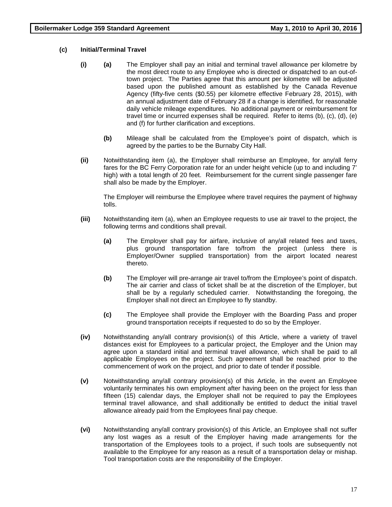#### **(c) Initial/Terminal Travel**

- **(i) (a)** The Employer shall pay an initial and terminal travel allowance per kilometre by the most direct route to any Employee who is directed or dispatched to an out-oftown project. The Parties agree that this amount per kilometre will be adjusted based upon the published amount as established by the Canada Revenue Agency (fifty-five cents (\$0.55) per kilometre effective February 28, 2015), with an annual adjustment date of February 28 if a change is identified, for reasonable daily vehicle mileage expenditures. No additional payment or reimbursement for travel time or incurred expenses shall be required. Refer to items (b), (c), (d), (e) and (f) for further clarification and exceptions.
	- **(b)** Mileage shall be calculated from the Employee's point of dispatch, which is agreed by the parties to be the Burnaby City Hall.
- **(ii)** Notwithstanding item (a), the Employer shall reimburse an Employee, for any/all ferry fares for the BC Ferry Corporation rate for an under height vehicle (up to and including 7' high) with a total length of 20 feet. Reimbursement for the current single passenger fare shall also be made by the Employer.

The Employer will reimburse the Employee where travel requires the payment of highway tolls.

- **(iii)** Notwithstanding item (a), when an Employee requests to use air travel to the project, the following terms and conditions shall prevail.
	- **(a)** The Employer shall pay for airfare, inclusive of any/all related fees and taxes, plus ground transportation fare to/from the project (unless there is Employer/Owner supplied transportation) from the airport located nearest thereto.
	- **(b)** The Employer will pre-arrange air travel to/from the Employee's point of dispatch. The air carrier and class of ticket shall be at the discretion of the Employer, but shall be by a regularly scheduled carrier. Notwithstanding the foregoing, the Employer shall not direct an Employee to fly standby.
	- **(c)** The Employee shall provide the Employer with the Boarding Pass and proper ground transportation receipts if requested to do so by the Employer.
- **(iv)** Notwithstanding any/all contrary provision(s) of this Article, where a variety of travel distances exist for Employees to a particular project, the Employer and the Union may agree upon a standard initial and terminal travel allowance, which shall be paid to all applicable Employees on the project. Such agreement shall be reached prior to the commencement of work on the project, and prior to date of tender if possible.
- **(v)** Notwithstanding any/all contrary provision(s) of this Article, in the event an Employee voluntarily terminates his own employment after having been on the project for less than fifteen (15) calendar days, the Employer shall not be required to pay the Employees terminal travel allowance, and shall additionally be entitled to deduct the initial travel allowance already paid from the Employees final pay cheque.
- **(vi)** Notwithstanding any/all contrary provision(s) of this Article, an Employee shall not suffer any lost wages as a result of the Employer having made arrangements for the transportation of the Employees tools to a project, if such tools are subsequently not available to the Employee for any reason as a result of a transportation delay or mishap. Tool transportation costs are the responsibility of the Employer.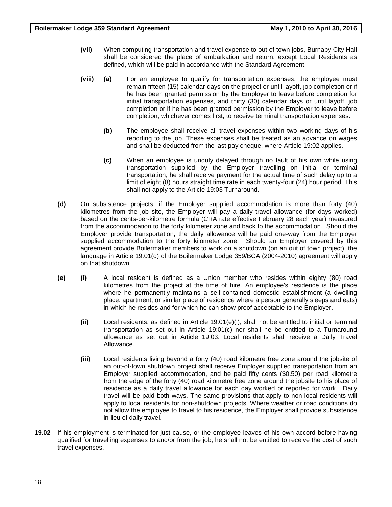- **(vii)** When computing transportation and travel expense to out of town jobs, Burnaby City Hall shall be considered the place of embarkation and return, except Local Residents as defined, which will be paid in accordance with the Standard Agreement.
- **(viii) (a)** For an employee to qualify for transportation expenses, the employee must remain fifteen (15) calendar days on the project or until layoff, job completion or if he has been granted permission by the Employer to leave before completion for initial transportation expenses, and thirty (30) calendar days or until layoff, job completion or if he has been granted permission by the Employer to leave before completion, whichever comes first, to receive terminal transportation expenses.
	- **(b)** The employee shall receive all travel expenses within two working days of his reporting to the job. These expenses shall be treated as an advance on wages and shall be deducted from the last pay cheque, where Article 19:02 applies.
	- **(c)** When an employee is unduly delayed through no fault of his own while using transportation supplied by the Employer travelling on initial or terminal transportation, he shall receive payment for the actual time of such delay up to a limit of eight (8) hours straight time rate in each twenty-four (24) hour period. This shall not apply to the Article 19:03 Turnaround.
- **(d)** On subsistence projects, if the Employer supplied accommodation is more than forty (40) kilometres from the job site, the Employer will pay a daily travel allowance (for days worked) based on the cents-per-kilometre formula (CRA rate effective February 28 each year) measured from the accommodation to the forty kilometer zone and back to the accommodation. Should the Employer provide transportation, the daily allowance will be paid one-way from the Employer supplied accommodation to the forty kilometer zone. Should an Employer covered by this agreement provide Boilermaker members to work on a shutdown (on an out of town project), the language in Article 19.01(d) of the Boilermaker Lodge 359/BCA (2004-2010) agreement will apply on that shutdown.
- **(e) (i)** A local resident is defined as a Union member who resides within eighty (80) road kilometres from the project at the time of hire. An employee's residence is the place where he permanently maintains a self-contained domestic establishment (a dwelling place, apartment, or similar place of residence where a person generally sleeps and eats) in which he resides and for which he can show proof acceptable to the Employer.
	- **(ii)** Local residents, as defined in Article 19.01(e)(i), shall not be entitled to initial or terminal transportation as set out in Article 19:01(c) nor shall he be entitled to a Turnaround allowance as set out in Article 19:03. Local residents shall receive a Daily Travel Allowance.
	- **(iii)** Local residents living beyond a forty (40) road kilometre free zone around the jobsite of an out-of-town shutdown project shall receive Employer supplied transportation from an Employer supplied accommodation, and be paid fifty cents (\$0.50) per road kilometre from the edge of the forty (40) road kilometre free zone around the jobsite to his place of residence as a daily travel allowance for each day worked or reported for work. Daily travel will be paid both ways. The same provisions that apply to non-local residents will apply to local residents for non-shutdown projects. Where weather or road conditions do not allow the employee to travel to his residence, the Employer shall provide subsistence in lieu of daily travel.
- **19.02** If his employment is terminated for just cause, or the employee leaves of his own accord before having qualified for travelling expenses to and/or from the job, he shall not be entitled to receive the cost of such travel expenses.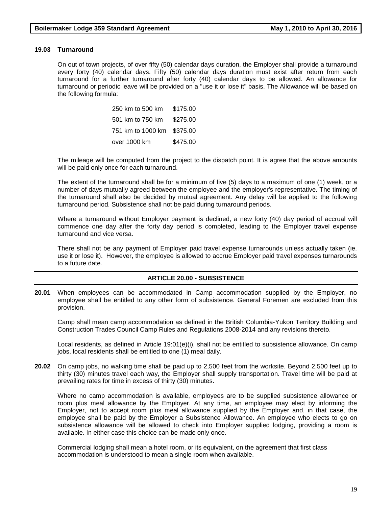#### **19.03 Turnaround**

On out of town projects, of over fifty (50) calendar days duration, the Employer shall provide a turnaround every forty (40) calendar days. Fifty (50) calendar days duration must exist after return from each turnaround for a further turnaround after forty (40) calendar days to be allowed. An allowance for turnaround or periodic leave will be provided on a "use it or lose it" basis. The Allowance will be based on the following formula:

| 250 km to 500 km           | \$175.00 |
|----------------------------|----------|
| 501 km to 750 km           | \$275.00 |
| 751 km to 1000 km \$375.00 |          |
| over 1000 km               | \$475.00 |

The mileage will be computed from the project to the dispatch point. It is agree that the above amounts will be paid only once for each turnaround.

The extent of the turnaround shall be for a minimum of five (5) days to a maximum of one (1) week, or a number of days mutually agreed between the employee and the employer's representative. The timing of the turnaround shall also be decided by mutual agreement. Any delay will be applied to the following turnaround period. Subsistence shall not be paid during turnaround periods.

Where a turnaround without Employer payment is declined, a new forty (40) day period of accrual will commence one day after the forty day period is completed, leading to the Employer travel expense turnaround and vice versa.

There shall not be any payment of Employer paid travel expense turnarounds unless actually taken (ie. use it or lose it). However, the employee is allowed to accrue Employer paid travel expenses turnarounds to a future date.

#### **ARTICLE 20.00 - SUBSISTENCE**

**20.01** When employees can be accommodated in Camp accommodation supplied by the Employer, no employee shall be entitled to any other form of subsistence. General Foremen are excluded from this provision.

Camp shall mean camp accommodation as defined in the British Columbia-Yukon Territory Building and Construction Trades Council Camp Rules and Regulations 2008-2014 and any revisions thereto.

Local residents, as defined in Article 19:01(e)(i), shall not be entitled to subsistence allowance. On camp jobs, local residents shall be entitled to one (1) meal daily.

**20.02** On camp jobs, no walking time shall be paid up to 2,500 feet from the worksite. Beyond 2,500 feet up to thirty (30) minutes travel each way, the Employer shall supply transportation. Travel time will be paid at prevailing rates for time in excess of thirty (30) minutes.

Where no camp accommodation is available, employees are to be supplied subsistence allowance or room plus meal allowance by the Employer. At any time, an employee may elect by informing the Employer, not to accept room plus meal allowance supplied by the Employer and, in that case, the employee shall be paid by the Employer a Subsistence Allowance. An employee who elects to go on subsistence allowance will be allowed to check into Employer supplied lodging, providing a room is available. In either case this choice can be made only once.

Commercial lodging shall mean a hotel room, or its equivalent, on the agreement that first class accommodation is understood to mean a single room when available.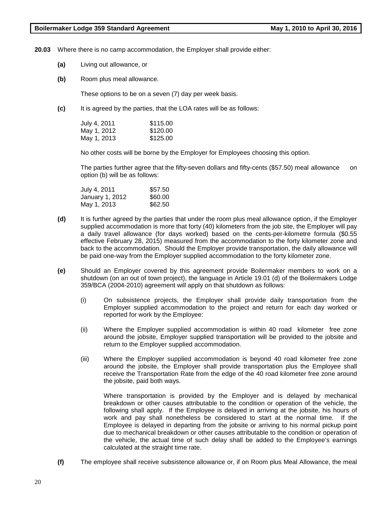- **20.03** Where there is no camp accommodation, the Employer shall provide either:
	- **(a)** Living out allowance, or
	- **(b)** Room plus meal allowance.

These options to be on a seven (7) day per week basis.

**(c)** It is agreed by the parties, that the LOA rates will be as follows:

| July 4, 2011 | \$115.00 |
|--------------|----------|
| May 1, 2012  | \$120.00 |
| May 1, 2013  | \$125.00 |

No other costs will be borne by the Employer for Employees choosing this option.

The parties further agree that the fifty-seven dollars and fifty-cents (\$57.50) meal allowance on option (b) will be as follows:

| July 4, 2011    | \$57.50 |
|-----------------|---------|
| January 1, 2012 | \$60.00 |
| May 1, 2013     | \$62.50 |

- **(d)** It is further agreed by the parties that under the room plus meal allowance option, if the Employer supplied accommodation is more that forty (40) kilometers from the job site, the Employer will pay a daily travel allowance (for days worked) based on the cents-per-kilometre formula (\$0.55 effective February 28, 2015) measured from the accommodation to the forty kilometer zone and back to the accommodation. Should the Employer provide transportation, the daily allowance will be paid one-way from the Employer supplied accommodation to the forty kilometer zone.
- **(e)** Should an Employer covered by this agreement provide Boilermaker members to work on a shutdown (on an out of town project), the language in Article 19.01 (d) of the Boilermakers Lodge 359/BCA (2004-2010) agreement will apply on that shutdown as follows:
	- (i) On subsistence projects, the Employer shall provide daily transportation from the Employer supplied accommodation to the project and return for each day worked or reported for work by the Employee:
	- (ii) Where the Employer supplied accommodation is within 40 road kilometer free zone around the jobsite, Employer supplied transportation will be provided to the jobsite and return to the Employer supplied accommodation.
	- (iii) Where the Employer supplied accommodation is beyond 40 road kilometer free zone around the jobsite, the Employer shall provide transportation plus the Employee shall receive the Transportation Rate from the edge of the 40 road kilometer free zone around the jobsite, paid both ways.

Where transportation is provided by the Employer and is delayed by mechanical breakdown or other causes attributable to the condition or operation of the vehicle, the following shall apply. If the Employee is delayed in arriving at the jobsite, his hours of work and pay shall nonetheless be considered to start at the normal time. If the Employee is delayed in departing from the jobsite or arriving to his normal pickup point due to mechanical breakdown or other causes attributable to the condition or operation of the vehicle, the actual time of such delay shall be added to the Employee's earnings calculated at the straight time rate.

**(f)** The employee shall receive subsistence allowance or, if on Room plus Meal Allowance, the meal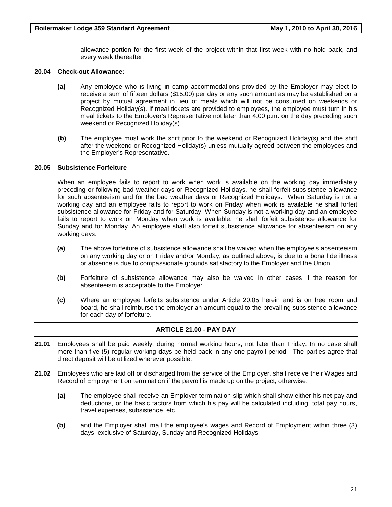allowance portion for the first week of the project within that first week with no hold back, and every week thereafter.

#### **20.04 Check-out Allowance:**

- **(a)** Any employee who is living in camp accommodations provided by the Employer may elect to receive a sum of fifteen dollars (\$15.00) per day or any such amount as may be established on a project by mutual agreement in lieu of meals which will not be consumed on weekends or Recognized Holiday(s). If meal tickets are provided to employees, the employee must turn in his meal tickets to the Employer's Representative not later than 4:00 p.m. on the day preceding such weekend or Recognized Holiday(s).
- **(b)** The employee must work the shift prior to the weekend or Recognized Holiday(s) and the shift after the weekend or Recognized Holiday(s) unless mutually agreed between the employees and the Employer's Representative.

#### **20.05 Subsistence Forfeiture**

When an employee fails to report to work when work is available on the working day immediately preceding or following bad weather days or Recognized Holidays, he shall forfeit subsistence allowance for such absenteeism and for the bad weather days or Recognized Holidays. When Saturday is not a working day and an employee fails to report to work on Friday when work is available he shall forfeit subsistence allowance for Friday and for Saturday. When Sunday is not a working day and an employee fails to report to work on Monday when work is available, he shall forfeit subsistence allowance for Sunday and for Monday. An employee shall also forfeit subsistence allowance for absenteeism on any working days.

- **(a)** The above forfeiture of subsistence allowance shall be waived when the employee's absenteeism on any working day or on Friday and/or Monday, as outlined above, is due to a bona fide illness or absence is due to compassionate grounds satisfactory to the Employer and the Union.
- **(b)** Forfeiture of subsistence allowance may also be waived in other cases if the reason for absenteeism is acceptable to the Employer.
- **(c)** Where an employee forfeits subsistence under Article 20:05 herein and is on free room and board, he shall reimburse the employer an amount equal to the prevailing subsistence allowance for each day of forfeiture.

#### **ARTICLE 21.00 - PAY DAY**

- **21.01** Employees shall be paid weekly, during normal working hours, not later than Friday. In no case shall more than five (5) regular working days be held back in any one payroll period. The parties agree that direct deposit will be utilized wherever possible.
- **21.02** Employees who are laid off or discharged from the service of the Employer, shall receive their Wages and Record of Employment on termination if the payroll is made up on the project, otherwise:
	- **(a)** The employee shall receive an Employer termination slip which shall show either his net pay and deductions, or the basic factors from which his pay will be calculated including: total pay hours, travel expenses, subsistence, etc.
	- **(b)** and the Employer shall mail the employee's wages and Record of Employment within three (3) days, exclusive of Saturday, Sunday and Recognized Holidays.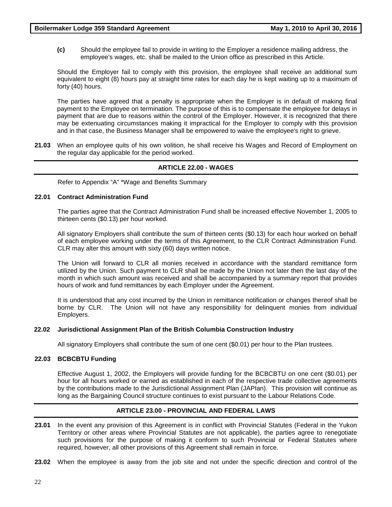**(c)** Should the employee fail to provide in writing to the Employer a residence mailing address, the employee's wages, etc. shall be mailed to the Union office as prescribed in this Article.

Should the Employer fail to comply with this provision, the employee shall receive an additional sum equivalent to eight (8) hours pay at straight time rates for each day he is kept waiting up to a maximum of forty (40) hours.

The parties have agreed that a penalty is appropriate when the Employer is in default of making final payment to the Employee on termination. The purpose of this is to compensate the employee for delays in payment that are due to reasons within the control of the Employer. However, it is recognized that there may be extenuating circumstances making it impractical for the Employer to comply with this provision and in that case, the Business Manager shall be empowered to waive the employee's right to grieve.

**21.03** When an employee quits of his own volition, he shall receive his Wages and Record of Employment on the regular day applicable for the period worked.

#### **ARTICLE 22.00 - WAGES**

Refer to Appendix "A" \*Wage and Benefits Summary

#### **22.01 Contract Administration Fund**

The parties agree that the Contract Administration Fund shall be increased effective November 1, 2005 to thirteen cents (\$0.13) per hour worked.

All signatory Employers shall contribute the sum of thirteen cents (\$0.13) for each hour worked on behalf of each employee working under the terms of this Agreement, to the CLR Contract Administration Fund. CLR may alter this amount with sixty (60) days written notice.

The Union will forward to CLR all monies received in accordance with the standard remittance form utilized by the Union. Such payment to CLR shall be made by the Union not later then the last day of the month in which such amount was received and shall be accompanied by a summary report that provides hours of work and fund remittances by each Employer under the Agreement.

It is understood that any cost incurred by the Union in remittance notification or changes thereof shall be borne by CLR. The Union will not have any responsibility for delinquent monies from individual Employers.

#### **22.02 Jurisdictional Assignment Plan of the British Columbia Construction Industry**

All signatory Employers shall contribute the sum of one cent (\$0.01) per hour to the Plan trustees.

#### **22.03 BCBCBTU Funding**

Effective August 1, 2002, the Employers will provide funding for the BCBCBTU on one cent (\$0.01) per hour for all hours worked or earned as established in each of the respective trade collective agreements by the contributions made to the Jurisdictional Assignment Plan (JAPIan). This provision will continue as long as the Bargaining Council structure continues to exist pursuant to the Labour Relations Code.

#### **ARTICLE 23.00 - PROVINCIAL AND FEDERAL LAWS**

- **23.01** In the event any provision of this Agreement is in conflict with Provincial Statutes (Federal in the Yukon Territory or other areas where Provincial Statutes are not applicable), the parties agree to renegotiate such provisions for the purpose of making it conform to such Provincial or Federal Statutes where required, however, all other provisions of this Agreement shall remain in force.
- **23.02** When the employee is away from the job site and not under the specific direction and control of the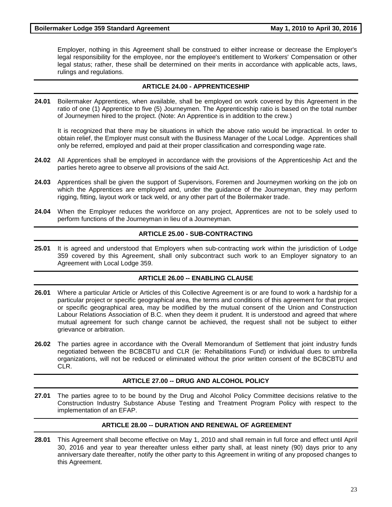Employer, nothing in this Agreement shall be construed to either increase or decrease the Employer's legal responsibility for the employee, nor the employee's entitlement to Workers' Compensation or other legal status; rather, these shall be determined on their merits in accordance with applicable acts, laws, rulings and regulations.

#### **ARTICLE 24.00 - APPRENTICESHIP**

**24.01** Boilermaker Apprentices, when available, shall be employed on work covered by this Agreement in the ratio of one (1) Apprentice to five (5) Journeymen. The Apprenticeship ratio is based on the total number of Journeymen hired to the project. (Note: An Apprentice is in addition to the crew.)

It is recognized that there may be situations in which the above ratio would be impractical. In order to obtain relief, the Employer must consult with the Business Manager of the Local Lodge. Apprentices shall only be referred, employed and paid at their proper classification and corresponding wage rate.

- **24.02** All Apprentices shall be employed in accordance with the provisions of the Apprenticeship Act and the parties hereto agree to observe all provisions of the said Act.
- **24.03** Apprentices shall be given the support of Supervisors, Foremen and Journeymen working on the job on which the Apprentices are employed and, under the guidance of the Journeyman, they may perform rigging, fitting, layout work or tack weld, or any other part of the Boilermaker trade.
- **24.04** When the Employer reduces the workforce on any project, Apprentices are not to be solely used to perform functions of the Journeyman in lieu of a Journeyman.

#### **ARTICLE 25.00 - SUB-CONTRACTING**

**25.01** It is agreed and understood that Employers when sub-contracting work within the jurisdiction of Lodge 359 covered by this Agreement, shall only subcontract such work to an Employer signatory to an Agreement with Local Lodge 359.

#### **ARTICLE 26.00 -- ENABLING CLAUSE**

- **26.01** Where a particular Article or Articles of this Collective Agreement is or are found to work a hardship for a particular project or specific geographical area, the terms and conditions of this agreement for that project or specific geographical area, may be modified by the mutual consent of the Union and Construction Labour Relations Association of B.C. when they deem it prudent. It is understood and agreed that where mutual agreement for such change cannot be achieved, the request shall not be subject to either grievance or arbitration.
- **26.02** The parties agree in accordance with the Overall Memorandum of Settlement that joint industry funds negotiated between the BCBCBTU and CLR (ie: Rehabilitations Fund) or individual dues to umbrella organizations, will not be reduced or eliminated without the prior written consent of the BCBCBTU and CLR.

#### **ARTICLE 27.00 -- DRUG AND ALCOHOL POLICY**

**27.01** The parties agree to to be bound by the Drug and Alcohol Policy Committee decisions relative to the Construction Industry Substance Abuse Testing and Treatment Program Policy with respect to the implementation of an EFAP.

#### **ARTICLE 28.00 -- DURATION AND RENEWAL OF AGREEMENT**

**28.01** This Agreement shall become effective on May 1, 2010 and shall remain in full force and effect until April 30, 2016 and year to year thereafter unless either party shall, at least ninety (90) days prior to any anniversary date thereafter, notify the other party to this Agreement in writing of any proposed changes to this Agreement.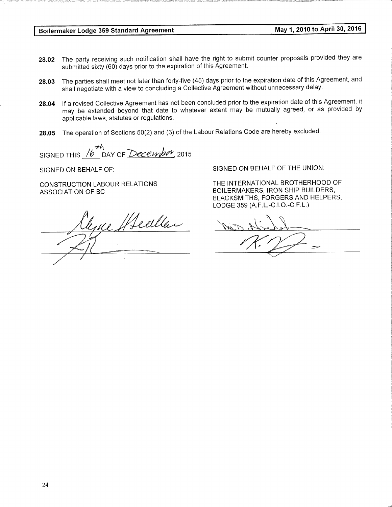- 28.02 The party receiving such notification shall have the right to submit counter proposals provided they are submitted sixty (60) days prior to the expiration of this Agreement.
- 28.03 The parties shall meet not later than forty-five (45) days prior to the expiration date of this Agreement, and shall negotiate with a view to concluding a Collective Agreement without unnecessary delay.
- 28.04 If a revised Collective Agreement has not been concluded prior to the expiration date of this Agreement, it may be extended beyond that date to whatever extent may be mutually agreed, or as provided by applicable laws, statutes or regulations.
- 28.05 The operation of Sections 5O(2) and (3) of the Labour Relations Code are hereby excluded.

 $+h$ SIGNED THIS <u>16 DAY OF *Dece wha* 2</u>015

CONSTRUCTION LABOUR RELATIONSASSOCIATION OF BC

yne Healten

SIGNED ON BEHALF OF: SIGNED ON BEHALF OF THE UNION:

THE INTERNATIONAL BROTHERHOOD OFBOILERMAKERS, IRON SHIP BUILDERS, BLACKSMITHS, FORGERS AND HELPERS,LODGE 359 (A.F.L.-C.l.O.-C.F.L.)

 $\mathscr{N}$ a-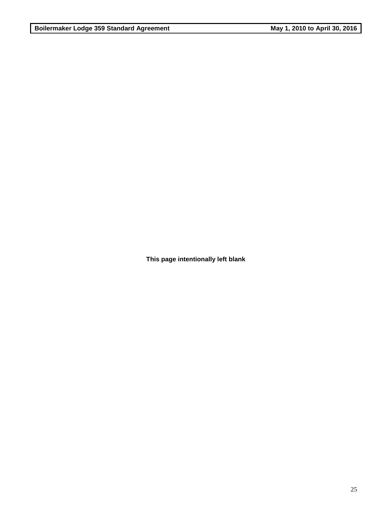**This page intentionally left blank**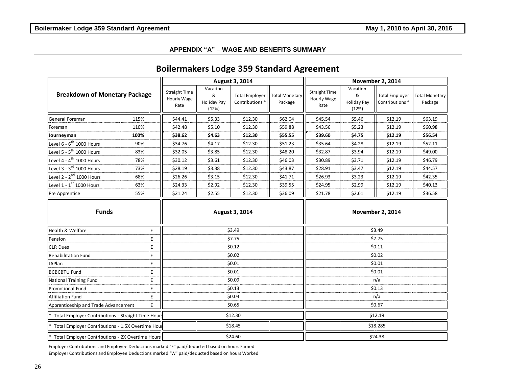#### **APPENDIX "A" – WAGE AND BENEFITS SUMMARY**

|                                                      |                | August 3, 2014                              |                                              |                                                     | <b>November 2, 2014</b>          |                                                                                                                                 |        |                                  |         |
|------------------------------------------------------|----------------|---------------------------------------------|----------------------------------------------|-----------------------------------------------------|----------------------------------|---------------------------------------------------------------------------------------------------------------------------------|--------|----------------------------------|---------|
| <b>Breakdown of Monetary Package</b>                 |                | <b>Straight Time</b><br>Hourly Wage<br>Rate | Vacation<br>&<br><b>Holiday Pay</b><br>(12%) | <b>Total Employer</b><br>Contributions <sup>*</sup> | <b>Total Monetary</b><br>Package | Vacation<br><b>Straight Time</b><br>&<br>Total Employer<br>Hourly Wage<br>Contributions*<br><b>Holiday Pay</b><br>Rate<br>(12%) |        | <b>Total Monetary</b><br>Package |         |
| General Foreman                                      | 115%           | \$44.41                                     | \$5.33                                       | \$12.30                                             | \$62.04                          | \$45.54                                                                                                                         | \$5.46 | \$12.19                          | \$63.19 |
| Foreman                                              | 110%           | \$42.48                                     | \$5.10                                       | \$12.30                                             | \$59.88                          | \$43.56                                                                                                                         | \$5.23 | \$12.19                          | \$60.98 |
| Journeyman                                           | 100%           | \$38.62                                     | \$4.63                                       | \$12.30                                             | \$55.55                          | \$39.60                                                                                                                         | \$4.75 | \$12.19                          | \$56.54 |
| Level $6 - 6^{th}$ 1000 Hours                        | 90%            | \$34.76                                     | \$4.17                                       | \$12.30                                             | \$51.23                          | \$35.64                                                                                                                         | \$4.28 | \$12.19                          | \$52.11 |
| Level 5 - 5 <sup>th</sup> 1000 Hours                 | 83%            | \$32.05                                     | \$3.85                                       | \$12.30                                             | \$48.20                          | \$32.87                                                                                                                         | \$3.94 | \$12.19                          | \$49.00 |
| Level 4 - 4 <sup>th</sup> 1000 Hours                 | 78%            | \$30.12                                     | \$3.61                                       | \$12.30                                             | \$46.03                          | \$30.89                                                                                                                         | \$3.71 | \$12.19                          | \$46.79 |
| Level 3 - 3rd 1000 Hours                             | 73%            | \$28.19                                     | \$3.38                                       | \$12.30                                             | \$43.87                          | \$28.91                                                                                                                         | \$3.47 | \$12.19                          | \$44.57 |
| Level 2 - 2 <sup>nd</sup> 1000 Hours                 | 68%            | \$26.26                                     | \$3.15                                       | \$12.30                                             | \$41.71                          | \$26.93                                                                                                                         | \$3.23 | \$12.19                          | \$42.35 |
| Level 1 - 1 <sup>st</sup> 1000 Hours                 | 63%            | \$24.33                                     | \$2.92                                       | \$12.30                                             | \$39.55                          | \$24.95                                                                                                                         | \$2.99 | \$12.19                          | \$40.13 |
| Pre Apprentice                                       | 55%            | \$21.24                                     | \$2.55                                       | \$12.30                                             | \$36.09                          | \$21.78                                                                                                                         | \$2.61 | \$12.19                          | \$36.58 |
| <b>Funds</b>                                         | August 3, 2014 |                                             | November 2, 2014                             |                                                     |                                  |                                                                                                                                 |        |                                  |         |
| Health & Welfare                                     | E              |                                             |                                              | \$3.49                                              |                                  | \$3.49                                                                                                                          |        |                                  |         |
| Pension                                              | E              |                                             |                                              | \$7.75                                              |                                  | \$7.75                                                                                                                          |        |                                  |         |
| <b>CLR Dues</b>                                      | E              |                                             |                                              | \$0.12                                              |                                  | \$0.11                                                                                                                          |        |                                  |         |
| Rehabilitation Fund                                  | E              |                                             |                                              | \$0.02                                              |                                  | \$0.02                                                                                                                          |        |                                  |         |
| JAPlan                                               | E              |                                             |                                              | \$0.01                                              |                                  |                                                                                                                                 |        | \$0.01                           |         |
| <b>BCBCBTU Fund</b>                                  | E              |                                             |                                              | \$0.01                                              |                                  |                                                                                                                                 |        | \$0.01                           |         |
| National Training Fund                               | E              |                                             |                                              | \$0.09                                              |                                  |                                                                                                                                 |        | n/a                              |         |
| <b>Promotional Fund</b>                              | E              |                                             |                                              | \$0.13                                              |                                  |                                                                                                                                 |        | \$0.13                           |         |
| <b>Affiliation Fund</b>                              | E              |                                             |                                              | \$0.03                                              |                                  |                                                                                                                                 |        | n/a                              |         |
| Apprenticeship and Trade Advancement                 | E              |                                             |                                              | \$0.65                                              |                                  |                                                                                                                                 |        | \$0.67                           |         |
| * Total Employer Contributions - Straight Time Hours |                |                                             |                                              | \$12.30                                             |                                  |                                                                                                                                 |        | \$12.19                          |         |
| Total Employer Contributions - 1.5X Overtime Hour    |                |                                             |                                              | \$18.45                                             |                                  |                                                                                                                                 |        | \$18.285                         |         |
| * Total Employer Contributions - 2X Overtime Hours   |                |                                             |                                              | \$24.60                                             |                                  |                                                                                                                                 |        | \$24.38                          |         |

### **Boilermakers Lodge 359 Standard Agreement**

Employer Contributions and Employee Deductions marked "E" paid/deducted based on hours Earned

Employer Contributions and Employee Deductions marked "W" paid/deducted based on hours Worked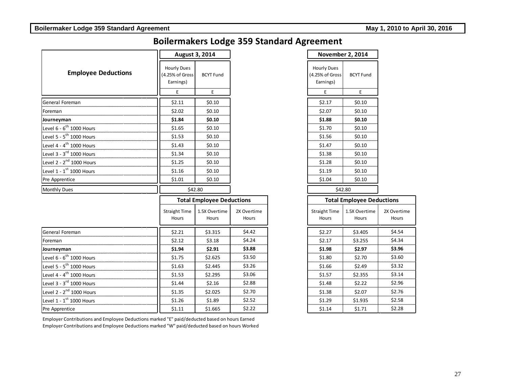#### **Boilermaker Lodge 359 Standard Agreement May 1, 2010 to April 30, 2016**

# **Boilermakers Lodge 359 Standard Agreement**

|                                        |                                                    | August 3, 2014                   |                      |  |                                                    | <b>November 2, 2014</b> |
|----------------------------------------|----------------------------------------------------|----------------------------------|----------------------|--|----------------------------------------------------|-------------------------|
| <b>Employee Deductions</b>             | <b>Hourly Dues</b><br>(4.25% of Gross<br>Earnings) | <b>BCYT Fund</b>                 |                      |  | <b>Hourly Dues</b><br>(4.25% of Gross<br>Earnings) | <b>BCYT Fur</b>         |
|                                        | E                                                  | E                                |                      |  | E.                                                 | E                       |
| General Foreman                        | \$2.11                                             | \$0.10                           |                      |  | \$2.17                                             | \$0.10                  |
| Foreman                                | \$2.02                                             | \$0.10                           |                      |  | \$2.07                                             | \$0.10                  |
| Journeyman                             | \$1.84                                             | \$0.10                           |                      |  | \$1.88                                             | \$0.10                  |
| Level $6 - 6^{th}$ 1000 Hours          | \$1.65                                             | \$0.10                           |                      |  | \$1.70                                             | \$0.10                  |
| Level 5 - $5^{th}$ 1000 Hours          | \$1.53                                             | \$0.10                           |                      |  | \$1.56                                             | \$0.10                  |
| Level $4 - 4$ <sup>th</sup> 1000 Hours | \$1.43                                             | \$0.10                           |                      |  | \$1.47                                             | \$0.10                  |
| Level 3 - 3rd 1000 Hours               | \$1.34                                             | \$0.10                           |                      |  | \$1.38                                             | \$0.10                  |
| Level 2 - 2 <sup>nd</sup> 1000 Hours   | \$1.25                                             | \$0.10                           |                      |  | \$1.28                                             | \$0.10                  |
| Level $1 - 1$ <sup>st</sup> 1000 Hours | \$1.16                                             | \$0.10                           |                      |  | \$1.19                                             | \$0.10                  |
| Pre Apprentice                         | \$1.01                                             | \$0.10                           |                      |  | \$1.04                                             | \$0.10                  |
| <b>Monthly Dues</b>                    |                                                    | \$42.80                          |                      |  |                                                    | \$42.80                 |
|                                        |                                                    | <b>Total Employee Deductions</b> |                      |  |                                                    | <b>Total Employee</b>   |
|                                        | <b>Straight Time</b><br>Hours                      | 1.5X Overtime<br>Hours           | 2X Overtime<br>Hours |  | <b>Straight Time</b><br>Hours                      | 1.5X Overt<br>Hours     |
| General Foreman                        | \$2.21                                             | \$3.315                          | \$4.42               |  | \$2.27                                             | \$3.405                 |
| Foreman                                | \$2.12                                             | \$3.18                           | \$4.24               |  | \$2.17                                             | \$3.255                 |
| Journeyman                             | \$1.94                                             | \$2.91                           | \$3.88               |  | \$1.98                                             | \$2.97                  |
| Level 6 - 6 <sup>th</sup> 1000 Hours   | \$1.75                                             | \$2.625                          | \$3.50               |  | \$1.80                                             | \$2.70                  |
| Level 5 - $5^{th}$ 1000 Hours          | \$1.63                                             | \$2.445                          | \$3.26               |  | \$1.66                                             | \$2.49                  |
| Level $4 - 4$ <sup>th</sup> 1000 Hours | \$1.53                                             | \$2.295                          | \$3.06               |  | \$1.57                                             | \$2.355                 |
| Level 3 - 3rd 1000 Hours               | \$1.44                                             | \$2.16                           | \$2.88               |  | \$1.48                                             | \$2.22                  |
| Level $2 - 2^{nd}$ 1000 Hours          | \$1.35                                             | \$2.025                          | \$2.70               |  | \$1.38                                             | \$2.07                  |
| Level $1 - 1$ <sup>st</sup> 1000 Hours | \$1.26                                             | \$1.89                           | \$2.52               |  | \$1.29                                             | \$1.935                 |
| Pre Apprentice                         | \$1.11                                             | \$1.665                          | \$2.22               |  | \$1.14                                             | \$1.71                  |

|                             | <b>Lugust 3, 2014</b>            |             |                                                    | <b>November 2, 2014</b>          |  |
|-----------------------------|----------------------------------|-------------|----------------------------------------------------|----------------------------------|--|
| y Dues<br>of Gross<br>ings) | <b>BCYT Fund</b>                 |             | <b>Hourly Dues</b><br>(4.25% of Gross<br>Earnings) | <b>BCYT Fund</b>                 |  |
|                             | E                                |             | E                                                  | E                                |  |
| .11                         | \$0.10                           |             | \$2.17                                             | \$0.10                           |  |
| .02                         | \$0.10                           |             | \$2.07                                             | \$0.10                           |  |
| .84                         | \$0.10                           |             | \$1.88                                             | \$0.10                           |  |
| .65                         | \$0.10                           |             | \$1.70                                             | \$0.10                           |  |
| .53                         | \$0.10                           |             | \$1.56                                             | \$0.10                           |  |
| .43                         | \$0.10                           |             | \$1.47                                             | \$0.10                           |  |
| .34                         | \$0.10                           |             | \$1.38                                             | \$0.10                           |  |
| .25                         | \$0.10                           |             | \$1.28                                             | \$0.10                           |  |
| .16                         | \$0.10                           |             | \$1.19                                             | \$0.10                           |  |
| .01                         | \$0.10                           |             | \$1.04                                             | \$0.10                           |  |
|                             | \$42.80                          |             |                                                    | \$42.80                          |  |
|                             | <b>Total Employee Deductions</b> |             |                                                    | <b>Total Employee Deductions</b> |  |
| it Time                     | 1.5X Overtime                    | 2X Overtime | <b>Straight Time</b>                               | 1.5X Overtime                    |  |
| urs                         | Hours                            | Hours       | Hours                                              | Hours                            |  |
| .21                         | \$3.315                          | \$4.42      | \$2.27                                             | \$3.405                          |  |
| .12                         | \$3.18                           | \$4.24      | \$2.17                                             | \$3.255                          |  |
| .94                         | \$2.91                           | \$3.88      | \$1.98                                             | \$2.97                           |  |
| .75                         | \$2.625                          | \$3.50      | \$1.80                                             | \$2.70                           |  |
| .63                         | \$2.445                          | \$3.26      | \$1.66                                             | \$2.49                           |  |
| .53                         | \$2.295                          | \$3.06      | \$1.57                                             | \$2.355                          |  |
| .44                         | \$2.16                           | \$2.88      | \$1.48                                             | \$2.22                           |  |
| .35                         | \$2.025                          | \$2.70      | \$1.38                                             | \$2.07                           |  |
| .26                         | \$1.89                           | \$2.52      | \$1.29                                             | \$1.935                          |  |
| .11                         | \$1.665                          | \$2.22      | \$1.14                                             | \$1.71                           |  |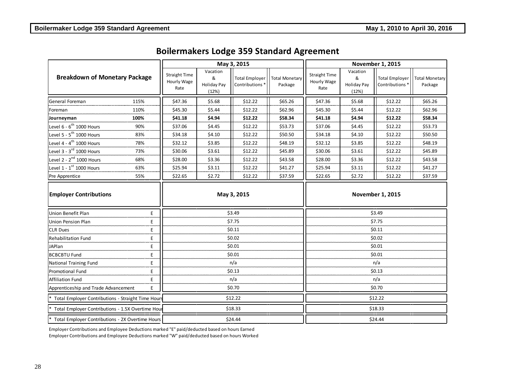**Boilermakers Lodge 359 Standard Agreement**

|                                                      |      | May 3, 2015                                 |                                       |                                         | <b>November 1, 2015</b>          |                                             |                                              |                                         |                                  |
|------------------------------------------------------|------|---------------------------------------------|---------------------------------------|-----------------------------------------|----------------------------------|---------------------------------------------|----------------------------------------------|-----------------------------------------|----------------------------------|
| <b>Breakdown of Monetary Package</b>                 |      | <b>Straight Time</b><br>Hourly Wage<br>Rate | Vacation<br>&<br>Holiday Pay<br>(12%) | <b>Total Employer</b><br>Contributions* | <b>Total Monetary</b><br>Package | <b>Straight Time</b><br>Hourly Wage<br>Rate | Vacation<br>&<br><b>Holiday Pay</b><br>(12%) | <b>Total Employer</b><br>Contributions* | <b>Total Monetary</b><br>Package |
| General Foreman                                      | 115% | \$47.36                                     | \$5.68                                | \$12.22                                 | \$65.26                          | \$47.36                                     | \$5.68                                       | \$12.22                                 | \$65.26                          |
| Foreman                                              | 110% | \$45.30                                     | \$5.44                                | \$12.22                                 | \$62.96                          | \$45.30                                     | \$5.44                                       | \$12.22                                 | \$62.96                          |
| Journeyman                                           | 100% | \$41.18                                     | \$4.94                                | \$12.22                                 | \$58.34                          | \$41.18                                     | \$4.94                                       | \$12.22                                 | \$58.34                          |
| Level $6 - 6^{th}$ 1000 Hours                        | 90%  | \$37.06                                     | \$4.45                                | \$12.22                                 | \$53.73                          | \$37.06                                     | \$4.45                                       | \$12.22                                 | \$53.73                          |
| Level 5 - 5 <sup>th</sup> 1000 Hours                 | 83%  | \$34.18                                     | \$4.10                                | \$12.22                                 | \$50.50                          | \$34.18                                     | \$4.10                                       | \$12.22                                 | \$50.50                          |
| Level 4 - 4 <sup>th</sup> 1000 Hours                 | 78%  | \$32.12                                     | \$3.85                                | \$12.22                                 | \$48.19                          | \$32.12                                     | \$3.85                                       | \$12.22                                 | \$48.19                          |
| Level $3 - 3^{rd}$ 1000 Hours                        | 73%  | \$30.06                                     | \$3.61                                | \$12.22                                 | \$45.89                          | \$30.06                                     | \$3.61                                       | \$12.22                                 | \$45.89                          |
| Level 2 - 2 <sup>nd</sup> 1000 Hours                 | 68%  | \$28.00                                     | \$3.36                                | \$12.22                                 | \$43.58                          | \$28.00                                     | \$3.36                                       | \$12.22                                 | \$43.58                          |
| Level $1 - 1$ <sup>st</sup> 1000 Hours               | 63%  | \$25.94                                     | \$3.11                                | \$12.22                                 | \$41.27                          | \$25.94                                     | \$3.11                                       | \$12.22                                 | \$41.27                          |
| Pre Apprentice                                       | 55%  | \$22.65                                     | \$2.72                                | \$12.22                                 | \$37.59                          | \$22.65                                     | \$2.72                                       | \$12.22                                 | \$37.59                          |
| <b>Employer Contributions</b>                        |      |                                             |                                       | May 3, 2015                             |                                  |                                             |                                              | <b>November 1, 2015</b>                 |                                  |
| Union Benefit Plan                                   | E    |                                             |                                       | \$3.49                                  |                                  | \$3.49                                      |                                              |                                         |                                  |
| <b>Union Pension Plan</b>                            | E    |                                             |                                       | \$7.75                                  |                                  | \$7.75                                      |                                              |                                         |                                  |
| <b>CLR Dues</b>                                      | E    |                                             |                                       | \$0.11                                  |                                  | \$0.11                                      |                                              |                                         |                                  |
| <b>Rehabilitation Fund</b>                           | E    |                                             |                                       | \$0.02                                  |                                  | \$0.02                                      |                                              |                                         |                                  |
| <b>JAPlan</b>                                        | E    |                                             |                                       | \$0.01                                  |                                  | \$0.01                                      |                                              |                                         |                                  |
| <b>BCBCBTU Fund</b>                                  | E    |                                             |                                       | \$0.01                                  |                                  | \$0.01                                      |                                              |                                         |                                  |
| National Training Fund                               | E    |                                             |                                       | n/a                                     |                                  |                                             |                                              | n/a                                     |                                  |
| Promotional Fund                                     | E    |                                             |                                       | \$0.13                                  |                                  |                                             |                                              | \$0.13                                  |                                  |
| <b>Affiliation Fund</b>                              | E    |                                             |                                       | n/a                                     |                                  |                                             |                                              | n/a                                     |                                  |
| Apprenticeship and Trade Advancement                 | E    |                                             |                                       | \$0.70                                  |                                  | \$0.70                                      |                                              |                                         |                                  |
| * Total Employer Contributions - Straight Time Hours |      |                                             |                                       | \$12.22                                 |                                  |                                             |                                              | \$12.22                                 |                                  |
| Total Employer Contributions - 1.5X Overtime Hour    |      |                                             |                                       | \$18.33                                 |                                  |                                             |                                              | \$18.33                                 |                                  |
| Total Employer Contributions - 2X Overtime Hours     |      |                                             |                                       | \$24.44                                 |                                  |                                             |                                              | \$24.44                                 |                                  |

Employer Contributions and Employee Deductions marked "E" paid/deducted based on hours Earned

Employer Contributions and Employee Deductions marked "W" paid/deducted based on hours Worked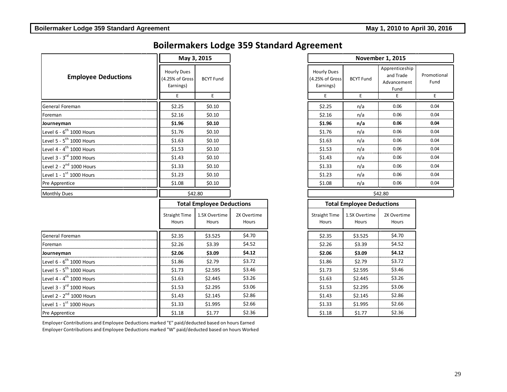### **Boilermakers Lodge 359 Standard Agreement**

|                                        |                                                    | May 3, 2015                      |                      |  |                                                    | <b>Nove</b>         |
|----------------------------------------|----------------------------------------------------|----------------------------------|----------------------|--|----------------------------------------------------|---------------------|
| <b>Employee Deductions</b>             | <b>Hourly Dues</b><br>(4.25% of Gross<br>Earnings) | <b>BCYT Fund</b>                 |                      |  | <b>Hourly Dues</b><br>(4.25% of Gross<br>Earnings) | <b>BCYT Fur</b>     |
|                                        | E                                                  | E                                |                      |  | E                                                  | $\mathsf{E}^-$      |
| General Foreman                        | \$2.25                                             | \$0.10                           |                      |  | \$2.25                                             | n/a                 |
| Foreman                                | \$2.16                                             | \$0.10                           |                      |  | \$2.16                                             | n/a                 |
| Journeyman                             | \$1.96                                             | \$0.10                           |                      |  | \$1.96                                             | n/a                 |
| Level 6 - 6 <sup>th</sup> 1000 Hours   | \$1.76                                             | \$0.10                           |                      |  | \$1.76                                             | n/a                 |
| Level 5 - $5^{\text{th}}$ 1000 Hours   | \$1.63                                             | \$0.10                           |                      |  | \$1.63                                             | n/a                 |
| Level 4 - 4 <sup>th</sup> 1000 Hours   | \$1.53                                             | \$0.10                           |                      |  | \$1.53                                             | n/a                 |
| Level 3 - 3 <sup>rd</sup> 1000 Hours   | \$1.43                                             | \$0.10                           |                      |  | \$1.43                                             | n/a                 |
| Level 2 - 2 <sup>nd</sup> 1000 Hours   | \$1.33                                             | \$0.10                           |                      |  | \$1.33                                             | n/a                 |
| Level $1 - 1$ <sup>st</sup> 1000 Hours | \$1.23                                             | \$0.10                           |                      |  | \$1.23                                             | n/a                 |
| Pre Apprentice                         | \$1.08                                             | \$0.10                           |                      |  | \$1.08                                             | n/a                 |
| <b>Monthly Dues</b>                    |                                                    | \$42.80                          |                      |  |                                                    |                     |
|                                        |                                                    | <b>Total Employee Deductions</b> |                      |  | <b>Total Employee</b>                              |                     |
|                                        | <b>Straight Time</b><br>Hours                      | 1.5X Overtime<br>Hours           | 2X Overtime<br>Hours |  | <b>Straight Time</b><br>Hours                      | 1.5X Overt<br>Hours |
| General Foreman                        | \$2.35                                             | \$3.525                          | \$4.70               |  | \$2.35                                             | \$3.525             |
| Foreman                                | \$2.26                                             | \$3.39                           | \$4.52               |  | \$2.26                                             | \$3.39              |
| Journeyman                             | \$2.06                                             | \$3.09                           | \$4.12               |  | \$2.06                                             | \$3.09              |
| Level 6 - $6^{\text{th}}$ 1000 Hours   | \$1.86                                             | \$2.79                           | \$3.72               |  | \$1.86                                             | \$2.79              |
| Level 5 - $5^{\text{th}}$ 1000 Hours   | \$1.73                                             | \$2.595                          | \$3.46               |  | \$1.73                                             | \$2.595             |
| Level 4 - $4^{\text{th}}$ 1000 Hours   | \$1.63                                             | \$2.445                          | \$3.26               |  | \$1.63                                             | \$2.445             |
| Level $3 - 3^{rd}$ 1000 Hours          | \$1.53                                             | \$2.295                          | \$3.06               |  | \$1.53                                             | \$2.295             |
| Level 2 - 2 <sup>nd</sup> 1000 Hours   | \$1.43                                             | \$2.145                          | \$2.86               |  | \$1.43                                             | \$2.145             |
| Level $1 - 1$ <sup>st</sup> 1000 Hours | \$1.33                                             | \$1.995                          | \$2.66               |  | \$1.33                                             | \$1.995             |
| Pre Apprentice                         | \$1.18                                             | \$1.77                           | \$2.36               |  | \$1.18                                             | \$1.77              |

| <b>November 1, 2015</b>                            |                  |      |                     |  |  |  |
|----------------------------------------------------|------------------|------|---------------------|--|--|--|
| <b>Hourly Dues</b><br>(4.25% of Gross<br>Earnings) | <b>BCYT Fund</b> |      | Promotional<br>Fund |  |  |  |
| E                                                  | E                | F    | E                   |  |  |  |
| \$2.25                                             | n/a              | 0.06 | 0.04                |  |  |  |
| \$2.16                                             | n/a              | 0.06 | 0.04                |  |  |  |
| \$1.96                                             | n/a              | 0.06 | 0.04                |  |  |  |
| \$1.76                                             | n/a              | 0.06 | 0.04                |  |  |  |
| \$1.63                                             | n/a              | 0.06 | 0.04                |  |  |  |
| \$1.53                                             | n/a              | 0.06 | 0.04                |  |  |  |
| \$1.43                                             | n/a              | 0.06 | 0.04                |  |  |  |
| \$1.33                                             | n/a              | 0.06 | 0.04                |  |  |  |
| \$1.23                                             | n/a              | 0.06 | 0.04                |  |  |  |
| \$1.08                                             | n/a              | 0.06 | 0.04                |  |  |  |

| วทร                      | <b>Total Employee Deductions</b> |                        |                      |  |  |  |  |  |
|--------------------------|----------------------------------|------------------------|----------------------|--|--|--|--|--|
| <b>Overtime</b><br>Hours | <b>Straight Time</b><br>Hours    | 1.5X Overtime<br>Hours | 2X Overtime<br>Hours |  |  |  |  |  |
| \$4.70                   | \$2.35                           | \$3.525                | \$4.70               |  |  |  |  |  |
| \$4.52                   | \$2.26                           | \$3.39                 | \$4.52               |  |  |  |  |  |
| \$4.12                   | \$2.06                           | \$3.09                 | \$4.12               |  |  |  |  |  |
| \$3.72                   | \$1.86                           | \$2.79                 | \$3.72               |  |  |  |  |  |
| \$3.46                   | \$1.73                           | \$2.595                | \$3.46               |  |  |  |  |  |
| \$3.26                   | \$1.63                           | \$2.445                | \$3.26               |  |  |  |  |  |
| \$3.06                   | \$1.53                           | \$2.295                | \$3.06               |  |  |  |  |  |
| \$2.86                   | \$1.43                           | \$2.145                | \$2.86               |  |  |  |  |  |
| \$2.66                   | \$1.33                           | \$1.995                | \$2.66               |  |  |  |  |  |
| \$2.36                   | \$1.18                           | \$1.77                 | \$2.36               |  |  |  |  |  |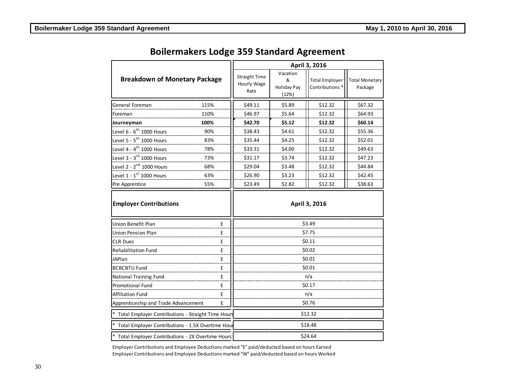|                                                      | April 3, 2016 |                                             |                                              |                                                     |                                  |  |
|------------------------------------------------------|---------------|---------------------------------------------|----------------------------------------------|-----------------------------------------------------|----------------------------------|--|
| <b>Breakdown of Monetary Package</b>                 |               | <b>Straight Time</b><br>Hourly Wage<br>Rate | Vacation<br>&<br><b>Holiday Pay</b><br>(12%) | <b>Total Employer</b><br>Contributions <sup>*</sup> | <b>Total Monetary</b><br>Package |  |
| General Foreman                                      | 115%          | \$49.11                                     | \$5.89                                       | \$12.32                                             | \$67.32                          |  |
| Foreman                                              | 110%          | \$46.97                                     | \$5.64                                       | \$12.32                                             | \$64.93                          |  |
| Journeyman                                           | 100%          | \$42.70                                     | \$5.12                                       | \$12.32                                             | \$60.14                          |  |
| Level $6 - 6^{th}$ 1000 Hours                        | 90%           | \$38.43                                     | \$4.61                                       | \$12.32                                             | \$55.36                          |  |
| Level 5 - 5 <sup>th</sup> 1000 Hours                 | 83%           | \$35.44                                     | \$4.25                                       | \$12.32                                             | \$52.01                          |  |
| Level $4 - 4$ <sup>th</sup> 1000 Hours               | 78%           | \$33.31                                     | \$4.00                                       | \$12.32                                             | \$49.63                          |  |
| Level 3 - 3rd 1000 Hours                             | 73%           | \$31.17                                     | \$3.74                                       | \$12.32                                             | \$47.23                          |  |
| Level 2 - $2^{nd}$ 1000 Hours                        | 68%           | \$29.04                                     | \$3.48                                       | \$12.32                                             | \$44.84                          |  |
| Level $1 - 1$ <sup>st</sup> 1000 Hours               | 63%           | \$26.90                                     | \$3.23                                       | \$12.32                                             | \$42.45                          |  |
| Pre Apprentice                                       | 55%           | \$23.49                                     | \$2.82                                       | \$12.32                                             | \$38.63                          |  |
| <b>Employer Contributions</b>                        |               |                                             |                                              | April 3, 2016                                       |                                  |  |
| Union Benefit Plan                                   | E             |                                             |                                              | \$3.49                                              |                                  |  |
| Union Pension Plan                                   | E             |                                             |                                              | \$7.75                                              |                                  |  |
| <b>CLR Dues</b>                                      | E             |                                             |                                              | \$0.11                                              |                                  |  |
| <b>Rehabilitation Fund</b>                           | E             |                                             |                                              | \$0.02                                              |                                  |  |
| <b>JAPlan</b>                                        | E             |                                             |                                              | \$0.01                                              |                                  |  |
| <b>BCBCBTU Fund</b>                                  | E             |                                             |                                              | \$0.01                                              |                                  |  |
| National Training Fund                               | E             |                                             |                                              | n/a                                                 |                                  |  |
| <b>Promotional Fund</b>                              | E             |                                             |                                              | \$0.17                                              |                                  |  |
| <b>Affiliation Fund</b>                              | E             |                                             |                                              | n/a                                                 |                                  |  |
| Apprenticeship and Trade Advancement                 | E             |                                             |                                              | \$0.76                                              |                                  |  |
| * Total Employer Contributions - Straight Time Hours |               |                                             |                                              | \$12.32                                             |                                  |  |
| * Total Employer Contributions - 1.5X Overtime Hour  |               | \$18.48                                     |                                              |                                                     |                                  |  |
| * Total Employer Contributions - 2X Overtime Hours   |               |                                             |                                              | \$24.64                                             |                                  |  |

### **Boilermakers Lodge 359 Standard Agreement**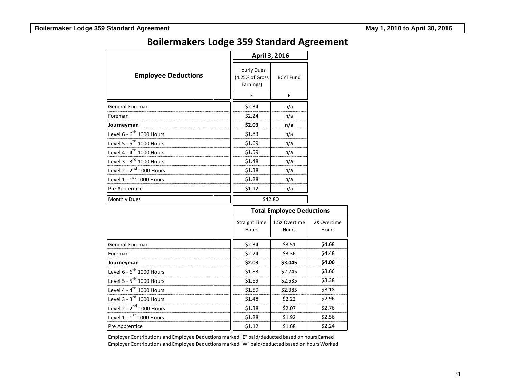# **Boilermakers Lodge 359 Standard Agreement**

|                                        | April 3, 2016                                      |                                  |                      |
|----------------------------------------|----------------------------------------------------|----------------------------------|----------------------|
| <b>Employee Deductions</b>             | <b>Hourly Dues</b><br>(4.25% of Gross<br>Earnings) | <b>BCYT Fund</b>                 |                      |
|                                        | E                                                  | E                                |                      |
| General Foreman                        | \$2.34                                             | n/a                              |                      |
| Foreman                                | \$2.24                                             | n/a                              |                      |
| Journeyman                             | \$2.03                                             | n/a                              |                      |
| Level $6 - 6^{th}$ 1000 Hours          | \$1.83                                             | n/a                              |                      |
| Level 5 - $5^{th}$ 1000 Hours          | \$1.69                                             | n/a                              |                      |
| Level $4 - 4$ <sup>th</sup> 1000 Hours | \$1.59                                             | n/a                              |                      |
| Level $3 - 3$ <sup>rd</sup> 1000 Hours | \$1.48                                             | n/a                              |                      |
| Level $2 - 2nd$ 1000 Hours             | \$1.38                                             | n/a                              |                      |
| Level $1 - 1$ <sup>st</sup> 1000 Hours | \$1.28                                             | n/a                              |                      |
| Pre Apprentice                         | \$1.12                                             | n/a                              |                      |
| <b>Monthly Dues</b>                    | \$42.80                                            |                                  |                      |
|                                        |                                                    | <b>Total Employee Deductions</b> |                      |
|                                        | <b>Straight Time</b><br>Hours                      | 1.5X Overtime<br>Hours           | 2X Overtime<br>Hours |
| General Foreman                        | \$2.34                                             | \$3.51                           | \$4.68               |
| Foreman                                | \$2.24                                             | \$3.36                           | \$4.48               |
| Journeyman                             | \$2.03                                             | \$3.045                          | \$4.06               |
| Level $6 - 6^{th}$ 1000 Hours          | \$1.83                                             | \$2.745                          | \$3.66               |
| Level 5 - $5^{th}$ 1000 Hours          | \$1.69                                             | \$2.535                          | \$3.38               |
| Level $4 - 4$ <sup>th</sup> 1000 Hours | \$1.59                                             | \$2.385                          | \$3.18               |
| Level 3 - 3rd 1000 Hours               | \$1.48                                             | \$2.22                           | \$2.96               |
| Level $2 - 2^{nd}$ 1000 Hours          | \$1.38                                             | \$2.07                           | \$2.76               |
| Level $1 - 1$ <sup>st</sup> 1000 Hours | \$1.28                                             | \$1.92                           | \$2.56               |
| Pre Apprentice                         | \$1.12                                             | \$1.68                           | \$2.24               |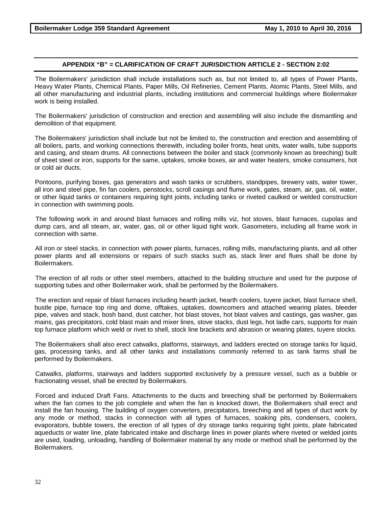#### **APPENDIX "B" = CLARIFICATION OF CRAFT JURISDICTION ARTICLE 2 - SECTION 2:02**

The Boilermakers' jurisdiction shall include installations such as, but not limited to, all types of Power Plants, Heavy Water Plants, Chemical Plants, Paper Mills, Oil Refineries, Cement Plants, Atomic Plants, Steel Mills, and all other manufacturing and industrial plants, including institutions and commercial buildings where Boilermaker work is being installed.

The Boilermakers' jurisdiction of construction and erection and assembling will also include the dismantling and demolition of that equipment.

The Boilermakers' jurisdiction shall include but not be limited to, the construction and erection and assembling of all boilers, parts, and working connections therewith, including boiler fronts, heat units, water walls, tube supports and casing, and steam drums. All connections between the boiler and stack (commonly known as breeching) built of sheet steel or iron, supports for the same, uptakes, smoke boxes, air and water heaters, smoke consumers, hot or cold air ducts.

Pontoons, purifying boxes, gas generators and wash tanks or scrubbers, standpipes, brewery vats, water tower, all iron and steel pipe, fin fan coolers, penstocks, scroll casings and flume work, gates, steam, air, gas, oil, water, or other liquid tanks or containers requiring tight joints, including tanks or riveted caulked or welded construction in connection with swimming pools.

The following work in and around blast furnaces and rolling mills viz, hot stoves, blast furnaces, cupolas and dump cars, and all steam, air, water, gas, oil or other liquid tight work. Gasometers, including all frame work in connection with same.

All iron or steel stacks, in connection with power plants, furnaces, rolling mills, manufacturing plants, and all other power plants and all extensions or repairs of such stacks such as, stack liner and flues shall be done by Boilermakers.

The erection of all rods or other steel members, attached to the building structure and used for the purpose of supporting tubes and other Boilermaker work, shall be performed by the Boilermakers.

The erection and repair of blast furnaces including hearth jacket, hearth coolers, tuyere jacket, blast furnace shell, bustle pipe, furnace top ring and dome, offtakes, uptakes, downcomers and attached wearing plates, bleeder pipe, valves and stack, bosh band, dust catcher, hot blast stoves, hot blast valves and castings, gas washer, gas mains, gas precipitators, cold blast main and mixer lines, stove stacks, dust legs, hot ladle cars, supports for main top furnace platform which weld or rivet to shell, stock line brackets and abrasion or wearing plates, tuyere stocks.

The Boilermakers shall also erect catwalks, platforms, stairways, and ladders erected on storage tanks for liquid, gas, processing tanks, and all other tanks and installations commonly referred to as tank farms shall be performed by Boilermakers.

Catwalks, platforms, stairways and ladders supported exclusively by a pressure vessel, such as a bubble or fractionating vessel, shall be erected by Boilermakers.

Forced and induced Draft Fans. Attachments to the ducts and breeching shall be performed by Boilermakers when the fan comes to the job complete and when the fan is knocked down, the Boilermakers shall erect and install the fan housing. The building of oxygen converters, precipitators, breeching and all types of duct work by any mode or method, stacks in connection with all types of furnaces, soaking pits, condensers, coolers, evaporators, bubble towers, the erection of all types of dry storage tanks requiring tight joints, plate fabricated aqueducts or water line, plate fabricated intake and discharge lines in power plants where riveted or welded joints are used, loading, unloading, handling of Boilermaker material by any mode or method shall be performed by the Boilermakers.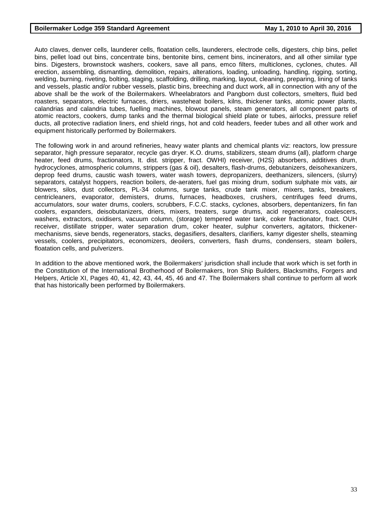Auto claves, denver cells, launderer cells, floatation cells, launderers, electrode cells, digesters, chip bins, pellet bins, pellet load out bins, concentrate bins, bentonite bins, cement bins, incinerators, and all other similar type bins. Digesters, brownstock washers, cookers, save all pans, emco filters, multiclones, cyclones, chutes. All erection, assembling, dismantling, demolition, repairs, alterations, loading, unloading, handling, rigging, sorting, welding, burning, riveting, bolting, staging, scaffolding, drilling, marking, layout, cleaning, preparing, lining of tanks and vessels, plastic and/or rubber vessels, plastic bins, breeching and duct work, all in connection with any of the above shall be the work of the Boilermakers. Wheelabrators and Pangborn dust collectors, smelters, fluid bed roasters, separators, electric furnaces, driers, wasteheat boilers, kilns, thickener tanks, atomic power plants, calandrias and calandria tubes, fuelling machines, blowout panels, steam generators, all component parts of atomic reactors, cookers, dump tanks and the thermal biological shield plate or tubes, airlocks, pressure relief ducts, all protective radiation liners, end shield rings, hot and cold headers, feeder tubes and all other work and equipment historically performed by Boilermakers.

The following work in and around refineries, heavy water plants and chemical plants viz: reactors, low pressure separator, high pressure separator, recycle gas dryer. K.O. drums, stabilizers, steam drums (all), platform charge heater, feed drums, fractionators, It. dist. stripper, fract. OWHI) receiver, (H2S) absorbers, additives drum, hydrocyclones, atmospheric columns, strippers (gas & oil), desalters, flash-drums, debutanizers, deisohexanizers, deprop feed drums, caustic wash towers, water wash towers, depropanizers, deethanizers, silencers, (slurry) separators, catalyst hoppers, reaction boilers, de-aeraters, fuel gas mixing drum, sodium sulphate mix vats, air blowers, silos, dust collectors, PL-34 columns, surge tanks, crude tank mixer, mixers, tanks, breakers, centricleaners, evaporator, demisters, drums, furnaces, headboxes, crushers, centrifuges feed drums, accumulators, sour water drums, coolers, scrubbers, F.C.C. stacks, cyclones, absorbers, depentanizers, fin fan coolers, expanders, deisobutanizers, driers, mixers, treaters, surge drums, acid regenerators, coalescers, washers, extractors, oxidisers, vacuum column, (storage) tempered water tank, coker fractionator, fract. OUH receiver, distillate stripper, water separation drum, coker heater, sulphur converters, agitators, thickenermechanisms, sieve bends, regenerators, stacks, degasifiers, desalters, clarifiers, kamyr digester shells, steaming vessels, coolers, precipitators, economizers, deoilers, converters, flash drums, condensers, steam boilers, floatation cells, and pulverizers.

In addition to the above mentioned work, the Boilermakers' jurisdiction shall include that work which is set forth in the Constitution of the International Brotherhood of Boilermakers, Iron Ship Builders, Blacksmiths, Forgers and Helpers, Article XI, Pages 40, 41, 42, 43, 44, 45, 46 and 47. The Boilermakers shall continue to perform all work that has historically been performed by Boilermakers.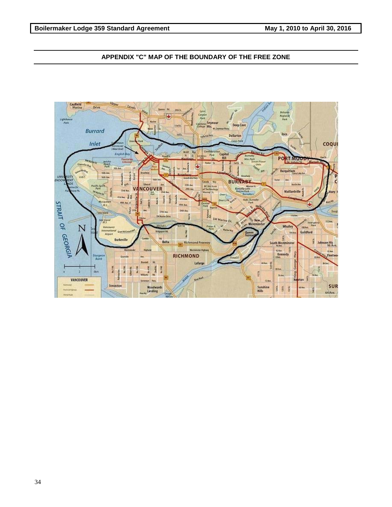#### **APPENDIX "C" MAP OF THE BOUNDARY OF THE FREE ZONE**

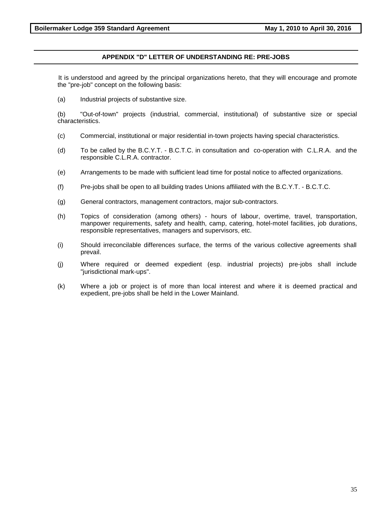#### **APPENDIX "D" LETTER OF UNDERSTANDING RE: PRE-JOBS**

It is understood and agreed by the principal organizations hereto, that they will encourage and promote the "pre-job" concept on the following basis:

(a) Industrial projects of substantive size.

(b) "Out-of-town" projects (industrial, commercial, institutional) of substantive size or special characteristics.

- (c) Commercial, institutional or major residential in-town projects having special characteristics.
- (d) To be called by the B.C.Y.T. B.C.T.C. in consultation and co-operation with C.L.R.A. and the responsible C.L.R.A. contractor.
- (e) Arrangements to be made with sufficient lead time for postal notice to affected organizations.
- (f) Pre-jobs shall be open to all building trades Unions affiliated with the B.C.Y.T. B.C.T.C.
- (g) General contractors, management contractors, major sub-contractors.
- (h) Topics of consideration (among others) hours of labour, overtime, travel, transportation, manpower requirements, safety and health, camp, catering, hotel-motel facilities, job durations, responsible representatives, managers and supervisors, etc.
- (i) Should irreconcilable differences surface, the terms of the various collective agreements shall prevail.
- (j) Where required or deemed expedient (esp. industrial projects) pre-jobs shall include "jurisdictional mark-ups".
- (k) Where a job or project is of more than local interest and where it is deemed practical and expedient, pre-jobs shall be held in the Lower Mainland.